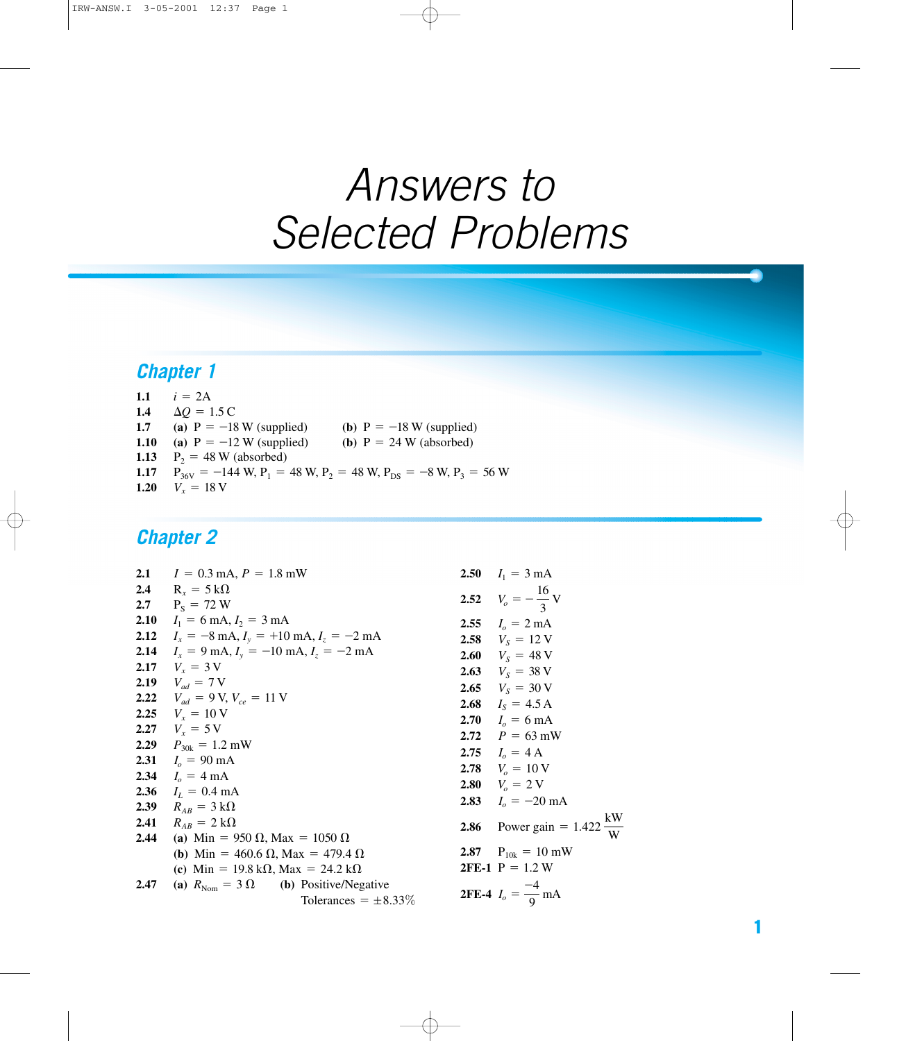# *Answers to Selected Problems*

### *Chapter 1*

| 1.1  | $i = 2A$                                                                      |
|------|-------------------------------------------------------------------------------|
| 1.4  | $\Delta O = 1.5 \text{ C}$                                                    |
| 1.7  | (a) $P = -18$ W (supplied)<br>(b) $P = -18$ W (supplied)                      |
| 1.10 | (a) $P = -12$ W (supplied)<br>(b) $P = 24$ W (absorbed)                       |
| 1.13 | $P_2 = 48$ W (absorbed)                                                       |
| 1.17 | $P_{36V} = -144$ W, $P_1 = 48$ W, $P_2 = 48$ W, $P_{DS} = -8$ W, $P_3 = 56$ W |
| 1.20 | $V_r = 18 \text{ V}$                                                          |

|      | 2.1 $I = 0.3$ mA, $P = 1.8$ mW                                        |      | 2.50 $I_1 = 3 \text{ mA}$                       |
|------|-----------------------------------------------------------------------|------|-------------------------------------------------|
|      | 2.4 $R_x = 5 k\Omega$                                                 |      |                                                 |
|      | 2.7 $P_s = 72 W$                                                      |      | 2.52 $V_o = -\frac{16}{3}V$                     |
| 2.10 | $I_1 = 6 \text{ mA}, I_2 = 3 \text{ mA}$                              |      | 2.55 $I_0 = 2 \text{ mA}$                       |
|      | 2.12 $I_x = -8 \text{ mA}, I_y = +10 \text{ mA}, I_z = -2 \text{ mA}$ |      | 2.58 $V_s = 12$ V                               |
| 2.14 | $I_x = 9 \text{ mA}, I_y = -10 \text{ mA}, I_z = -2 \text{ mA}$       |      | 2.60 $V_s = 48 \text{ V}$                       |
|      | 2.17 $V_r = 3V$                                                       |      | <b>2.63</b> $V_s = 38 \text{ V}$                |
|      | <b>2.19</b> $V_{ad} = 7 \text{ V}$                                    |      | 2.65 $V_s = 30 \text{ V}$                       |
|      | 2.22 $V_{ad} = 9 \text{ V}, V_{ce} = 11 \text{ V}$                    |      | 2.68 $I_s = 4.5 A$                              |
|      | 2.25 $V_r = 10 \text{ V}$                                             |      | 2.70 $I_0 = 6 \text{ mA}$                       |
|      | 2.27 $V_r = 5V$                                                       |      | 2.72 $P = 63$ mW                                |
|      | 2.29 $P_{30k} = 1.2$ mW                                               |      | 2.75 $I_o = 4$ A                                |
|      | 2.31 $I_o = 90 \text{ mA}$                                            |      | 2.78 $V_a = 10 \text{ V}$                       |
|      | 2.34 $I_0 = 4 \text{ mA}$                                             |      | 2.80 $V_0 = 2 \text{ V}$                        |
|      | <b>2.36</b> $I_L = 0.4 \text{ mA}$                                    |      | 2.83 $Io = -20$ mA                              |
|      | 2.39 $R_{AB} = 3 k\Omega$                                             |      |                                                 |
|      | 2.41 $R_{AB} = 2 k\Omega$                                             | 2.86 | Power gain = $1.422 \frac{\text{kW}}{\text{W}}$ |
|      | <b>2.44</b> (a) Min = 950 $\Omega$ , Max = 1050 $\Omega$              |      |                                                 |
|      | ( <b>b</b> ) Min = 460.6 $\Omega$ , Max = 479.4 $\Omega$              |      | 2.87 $P_{10k} = 10 \text{ mW}$                  |
|      | (c) Min = 19.8 k $\Omega$ , Max = 24.2 k $\Omega$                     |      | <b>2FE-1</b> $P = 1.2 W$                        |
| 2.47 | (a) $R_{\text{Nom}} = 3 \Omega$ (b) Positive/Negative                 |      |                                                 |
|      | Tolerances $= \pm 8.33\%$                                             |      | <b>2FE-4</b> $I_o = \frac{-4}{9}$ mA            |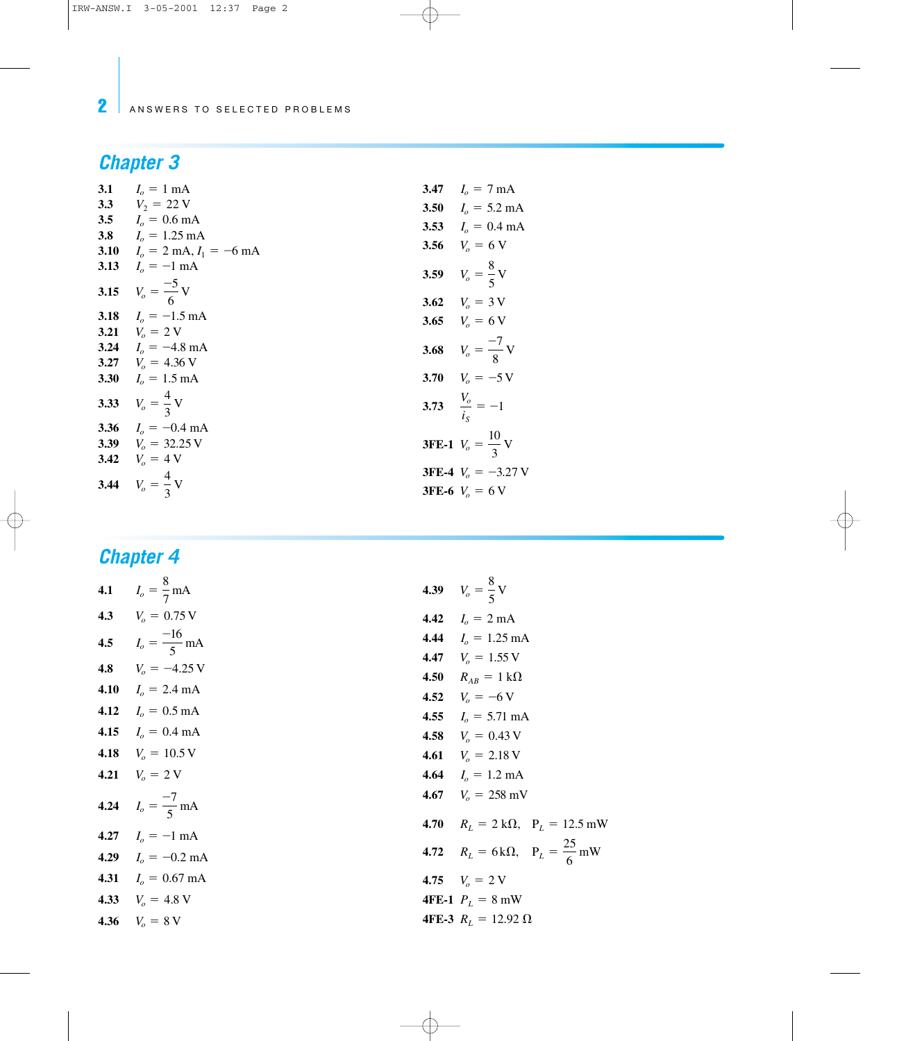# *Chapter 3*

| 3.1 | $I_0 = 1$ mA                                   | 3.47 $I_0 = 7 \text{ mA}$           |
|-----|------------------------------------------------|-------------------------------------|
|     | 3.3 $V_2 = 22$ V                               | 3.50 $Io = 5.2$ mA                  |
|     | 3.5 $Io = 0.6$ mA                              | 3.53 $I_0 = 0.4 \text{ mA}$         |
|     | 3.8 $Io = 1.25 \text{ mA}$                     |                                     |
|     | 3.10 $I_0 = 2 \text{ mA}, I_1 = -6 \text{ mA}$ | 3.56 $V_o = 6$ V                    |
|     | 3.13 $I_0 = -1$ mA                             | 3.59 $V_o = \frac{8}{5}V$           |
|     |                                                |                                     |
|     | 3.15 $V_o = \frac{-5}{6}V$                     | 3.62 $V_o = 3 \text{ V}$            |
|     | 3.18 $Ia = -1.5$ mA                            | 3.65 $V_o = 6 \text{ V}$            |
|     | 3.21 $V_0 = 2$ V                               |                                     |
|     | 3.24 $Io = -4.8$ mA                            | 3.68 $V_o = \frac{-7}{8}V$          |
|     | 3.27 $Vo = 4.36 V$                             |                                     |
|     | 3.30 $Io = 1.5$ mA                             | 3.70 $V_o = -5$ V                   |
|     | 3.33 $V_o = \frac{4}{3}V$                      | 3.73 $\frac{V_o}{i_o} = -1$         |
|     | 3.36 $Io = -0.4$ mA                            |                                     |
|     | 3.39 $V_0 = 32.25 \text{ V}$                   | <b>3FE-1</b> $V_o = \frac{10}{3} V$ |
|     | 3.42 $V_o = 4$ V                               |                                     |
|     |                                                | <b>3FE-4</b> $V_a = -3.27$ V        |
|     | 3.44 $V_o = \frac{4}{3}V$                      | <b>3FE-6</b> $V_0 = 6$ V            |

| 4.1 $I_o = \frac{8}{7} \text{ mA}$   | 4.39 $V_o = \frac{8}{5}V$                              |
|--------------------------------------|--------------------------------------------------------|
| 4.3 $V_o = 0.75 \text{ V}$           | 4.42 $I_o = 2 \text{ mA}$                              |
| 4.5 $I_o = \frac{-16}{5} \text{ mA}$ | 4.44 $I_o = 1.25 \text{ mA}$                           |
| 4.8 $V_o = -4.25 \text{ V}$          | 4.47 $V_o = 1.55$ V<br>4.50 $R_{AB} = 1 k\Omega$       |
| 4.10 $I_0 = 2.4 \text{ mA}$          | 4.52 $V_a = -6$ V                                      |
| 4.12 $Io = 0.5$ mA                   | 4.55 $Io = 5.71 \text{ mA}$                            |
| 4.15 $Io = 0.4$ mA                   | 4.58 $V_0 = 0.43$ V                                    |
| 4.18 $V_o = 10.5 \text{ V}$          | 4.61 $V_o = 2.18 \text{ V}$                            |
| 4.21 $V_o = 2$ V                     | 4.64 $I_o = 1.2 \text{ mA}$                            |
| 4.24 $I_o = \frac{-7}{5}$ mA         | 4.67 $Vo = 258$ mV                                     |
| 4.27 $I_o = -1$ mA                   | 4.70 $R_L = 2 k\Omega$ , $P_L = 12.5$ mW               |
| 4.29 $I_o = -0.2$ mA                 | <b>4.72</b> $R_L = 6k\Omega$ , $P_L = \frac{25}{6} mW$ |
| 4.31 $I_o = 0.67 \text{ mA}$         | 4.75 $V_o = 2$ V                                       |
| 4.33 $V_o = 4.8 \text{ V}$           | <b>4FE-1</b> $P_L = 8$ mW                              |
| 4.36 $V_0 = 8 \text{ V}$             | 4FE-3 $R_I = 12.92 \Omega$                             |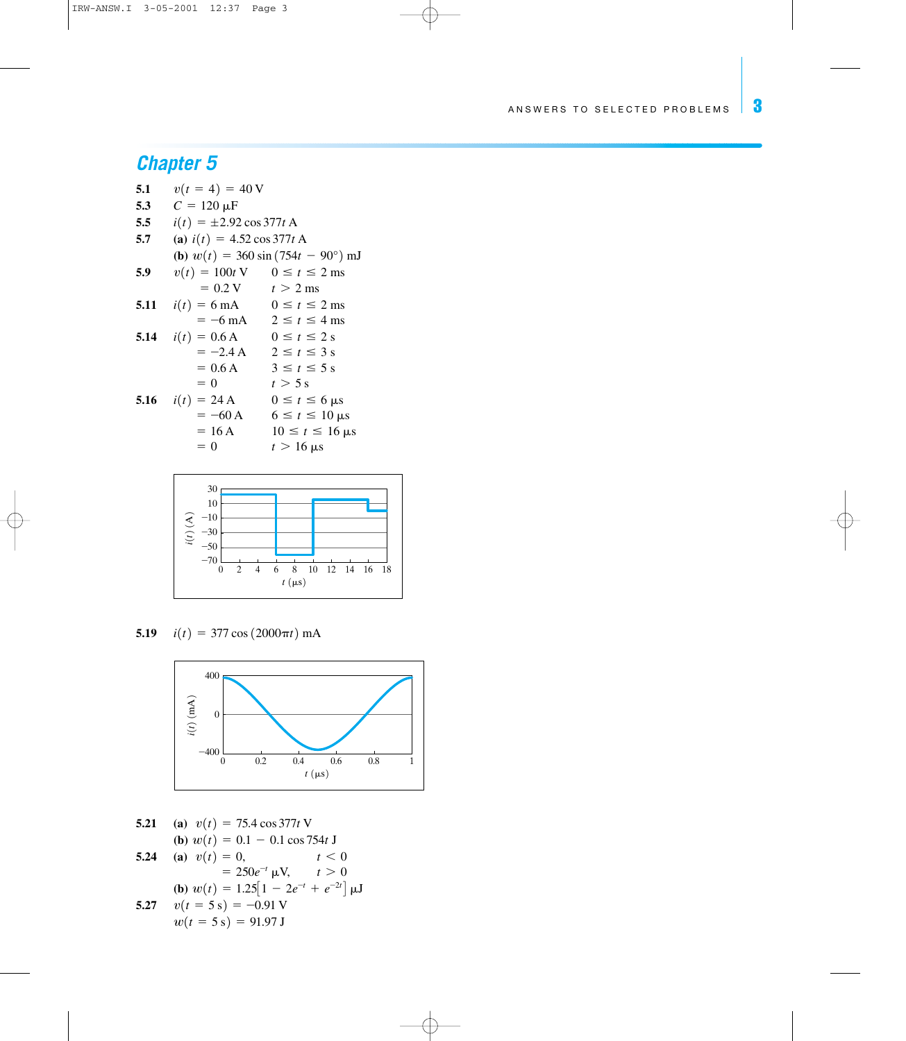### *Chapter 5*

- **5.1**  $v(t=4)=40$  V 5.3  $C = 120 \mu F$ **5.5**  $i(t) = \pm 2.92 \cos 377t$  A
- 
- **5.7** (a)  $i(t) = 4.52 \cos 377t$  A
- **(b)**  $w(t) = 360 \sin (754t 90^\circ)$  mJ **5.9**  $v(t) = 100t \text{ V}$   $0 \le t \le 2 \text{ ms}$  $= 0.2 \text{ V}$   $t > 2 \text{ ms}$ **5.11**  $i(t) = 6$  mA  $0 \le t \le 2$  ms  $=$  -6 mA 2  $\le t \le 4$  ms **5.14**  $i(t) = 0.6 \text{ A}$   $0 \le t \le 2 \text{ s}$
- $= -2.4 \text{ A}$   $2 \le t \le 3 \text{ s}$  $= 0.6 \text{ A}$   $3 \le t \le 5 \text{ s}$ 
	- $= 0$   $t > 5 s$
- **5.16**  $i(t) = 24 \text{ A}$   $0 \le t \le 6 \text{ }\mu\text{s}$  $= -60 \text{ A}$  6  $\le t \le 10 \text{ }\mu\text{s}$  $= 16 \text{ A}$   $10 \le t \le 16 \text{ }\mu\text{s}$

$$
= 0 \qquad \qquad t > 16 \text{ }\mu\text{s}
$$



**5.19**  $i(t) = 377 \cos (2000 \pi t) \text{ mA}$ 



**5.21** (a)  $v(t) = 75.4 \cos 377t$  V **(b)**  $w(t) = 0.1 - 0.1 \cos 754t \text{ J}$ **5.24** (a)  $v(t) = 0$ ,  $t < 0$  $=250e^{-t}$   $\mu$ V,  $t>0$ **(b)**  $w(t)=1.25\left[1-2e^{-t}+e^{-2t}\right] \mu J$ **5.27**  $v(t=5 s) = -0.91 V$  $w(t=5 s) = 91.97 J$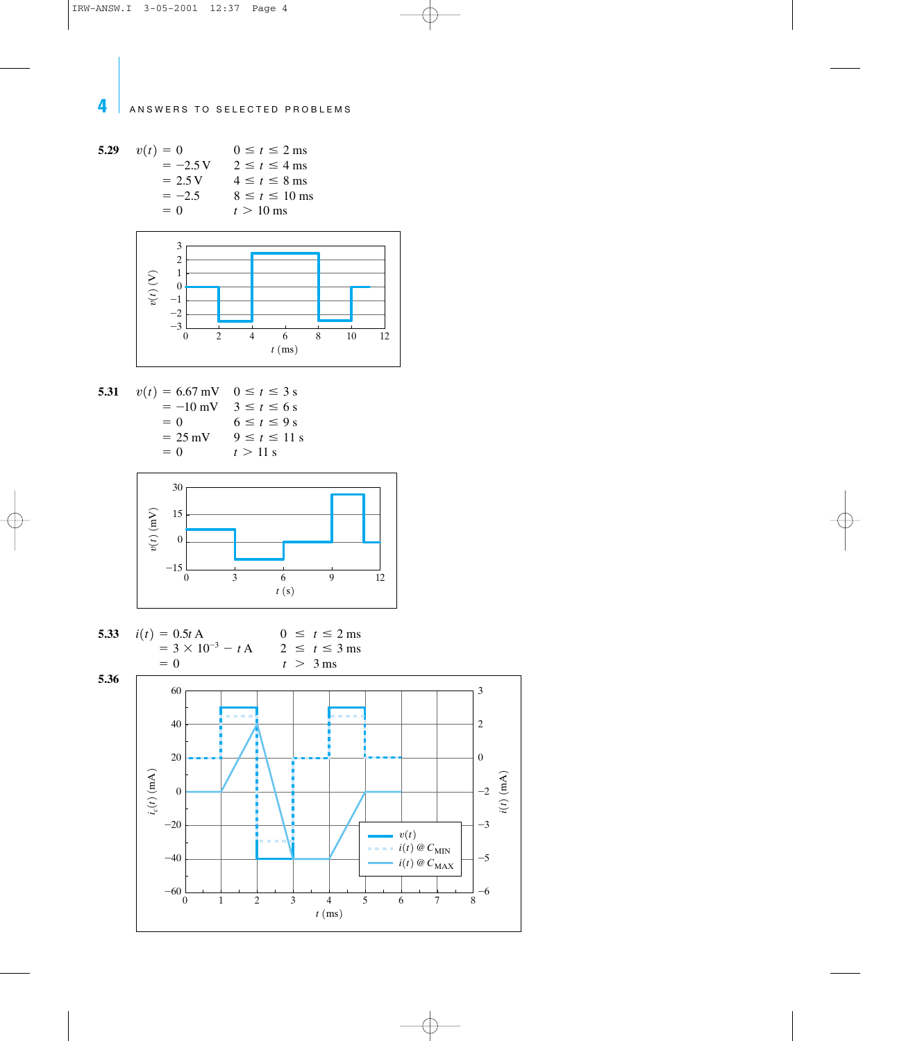5.29 
$$
v(t) = 0
$$
  $0 \le t \le 2 \text{ ms}$   
\t\t\t\t $= -2.5 \text{ V}$   $2 \le t \le 4 \text{ ms}$   
\t\t\t\t $= 2.5 \text{ V}$   $4 \le t \le 8 \text{ ms}$   
\t\t\t\t $= -2.5$   $8 \le t \le 10 \text{ ms}$   
\t\t\t\t $= 0$   $t > 10 \text{ ms}$ 



5.31 
$$
v(t) = 6.67 \text{ mV}
$$
  $0 \le t \le 3 \text{ s}$   
\t= -10 mV  $3 \le t \le 6 \text{ s}$   
\t= 0  $6 \le t \le 9 \text{ s}$   
\t= 25 mV  $9 \le t \le 11 \text{ s}$   
\t= 0  $t > 11 \text{ s}$ 



5.33 
$$
i(t) = 0.5t A
$$
  
\t\t\t\t $= 3 \times 10^{-3} - t A$   
\t\t\t\t $= 0$   
5.36  
0  $\leq t \leq 2$  ms  
\t\t\t\t $t > 3$  ms

60 40

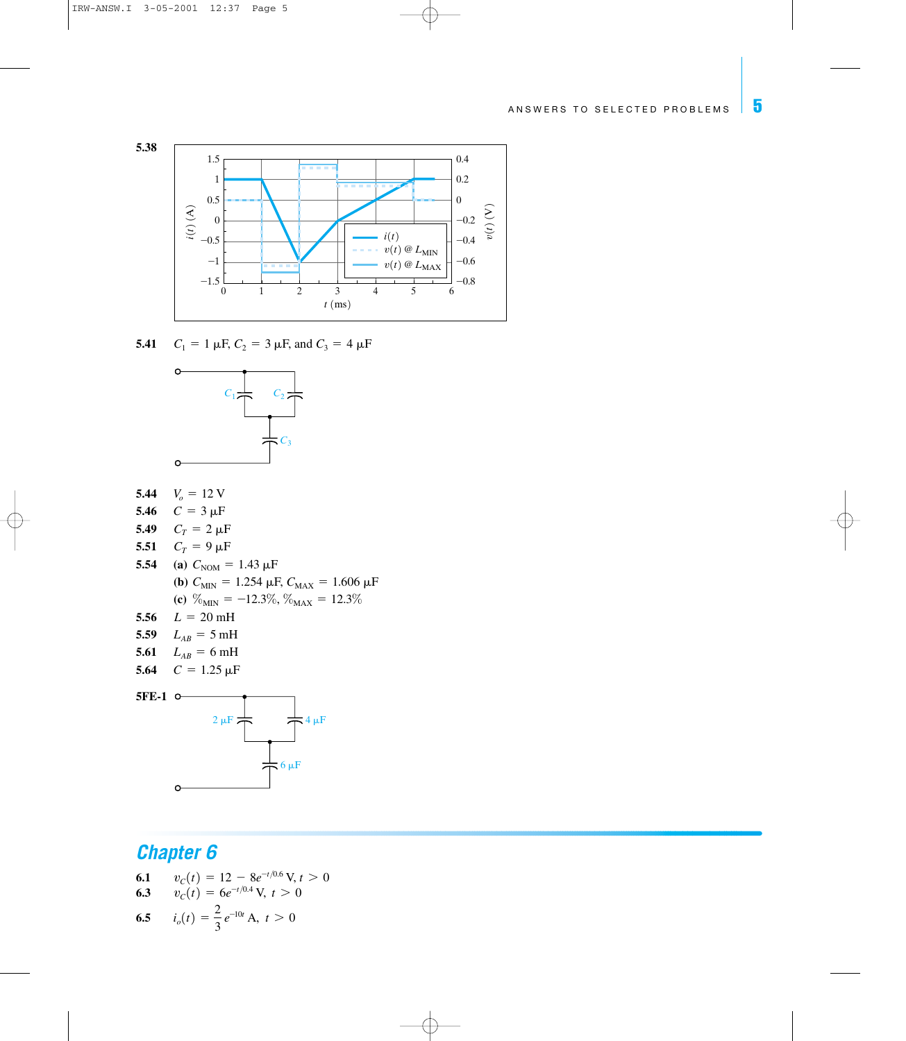

**5.41**  $C_1 = 1 \mu$ F,  $C_2 = 3 \mu$ F, and  $C_3 = 4 \mu$ F



- **5.44**  $V_o = 12 \text{ V}$
- 5.46  $C=3 \mu F$
- **5.49**  $C_T = 2 \mu F$
- **5.51**  $C_T = 9 \mu F$
- **5.54** (a)  $C_{\text{NOM}} = 1.43 \,\mu\text{F}$ **(b)**  $C_{\text{MIN}} = 1.254 \mu\text{F}$ ,  $C_{\text{MAX}} = 1.606 \mu\text{F}$ **(c)**  $\%_{MIN} = -12.3\%, \%_{MAX} = 12.3\%$
- 5.56  $L = 20$  mH
- **5.59**  $L_{AB} = 5 \text{ mH}$
- **5.61**  $L_{AB} = 6 \text{ mH}$
- **5.64**  $C = 1.25 \,\mu\text{F}$



- **6.1**  $v_c(t) = 12 8e^{-t/0.6}$  V,  $t > 0$ <br>**6.3**  $v_c(t) = 6e^{-t/0.4}$  V,  $t > 0$
- $v_c(t) = 6e^{-t/0.4}$  V,  $t > 0$  $\overline{\phantom{a}}$

6.5 
$$
i_o(t) = \frac{2}{3}e^{-10t} A, t > 0
$$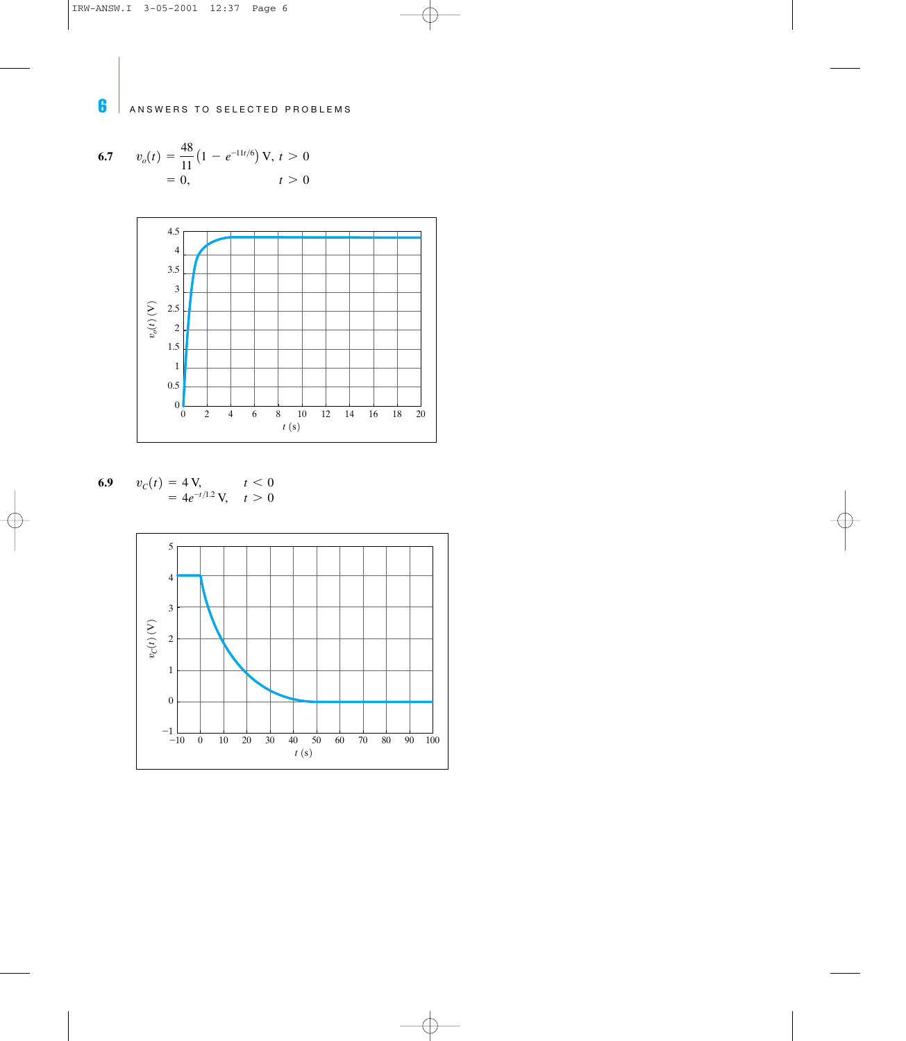6.7 
$$
v_o(t) = \frac{48}{11} (1 - e^{-11t/6}) \text{ V}, t > 0
$$
  
= 0,  $t > 0$ 



6.9 
$$
v_C(t) = 4 \text{ V}, \quad t < 0
$$
  
=  $4e^{-t/1.2} \text{ V}, \quad t > 0$ 

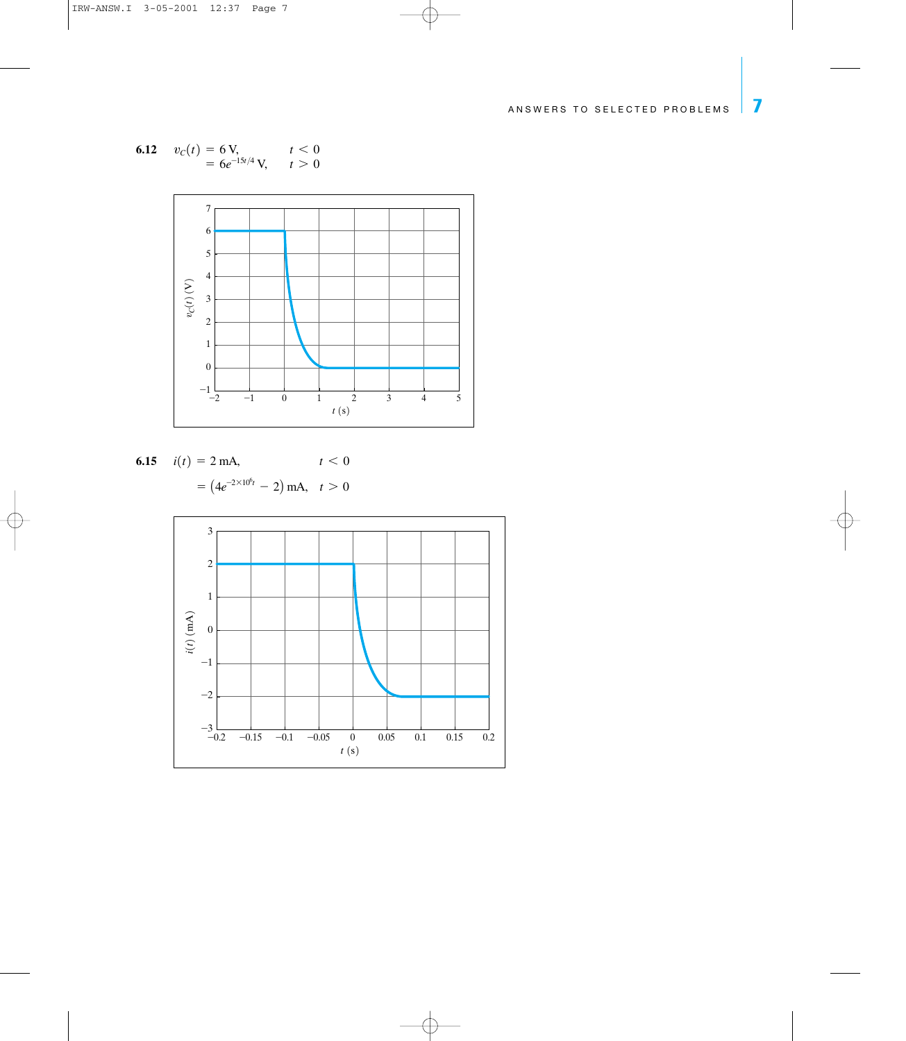6.12 
$$
v_C(t) = 6 \text{ V}, \quad t < 0
$$
  
=  $6e^{-15t/4} \text{ V}, \quad t > 0$ 



6.15 
$$
i(t) = 2 \text{ mA},
$$
  $t < 0$   
=  $(4e^{-2 \times 10^6 t} - 2) \text{ mA}, t > 0$ 

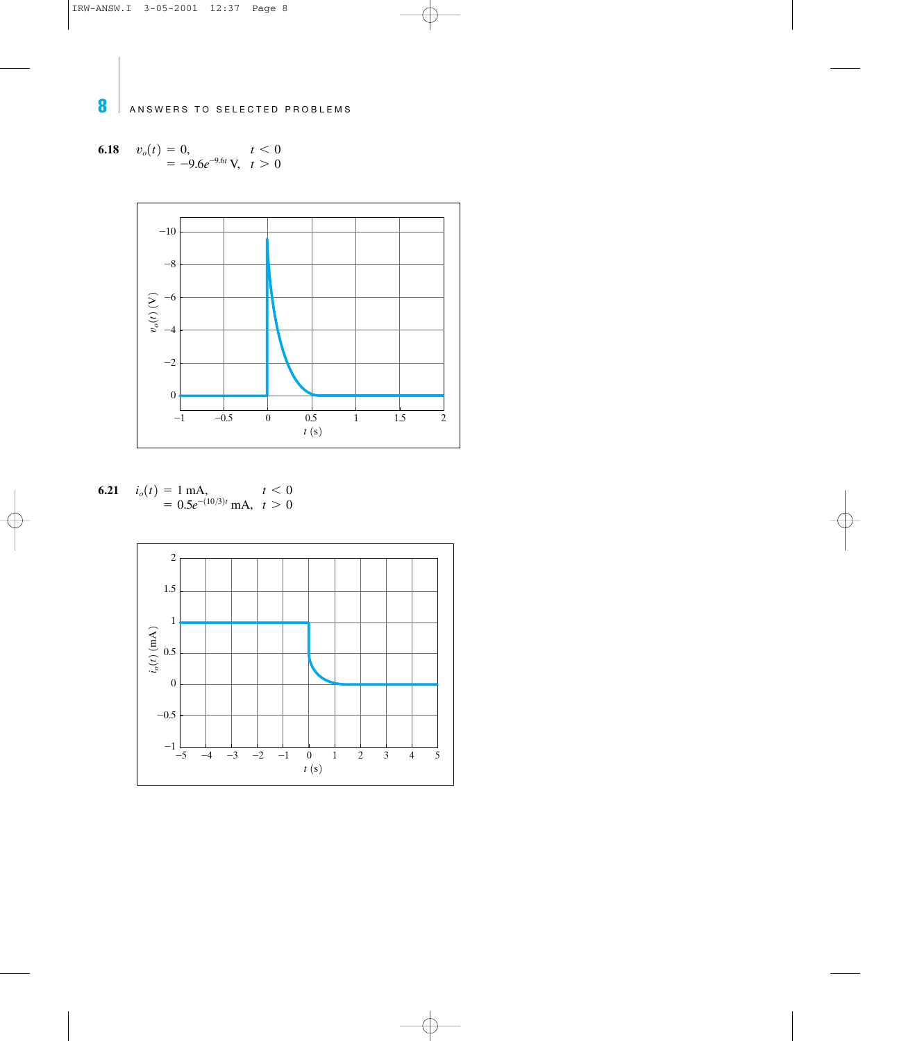6.18 
$$
v_o(t) = 0,
$$
  
= -9.6 $e^{-9.6t}$  V,  $t > 0$ 



**6.21** 
$$
i_o(t) = 1 \text{ mA}, \quad t < 0
$$
  
=  $0.5e^{-(10/3)t} \text{ mA}, \quad t > 0$ 

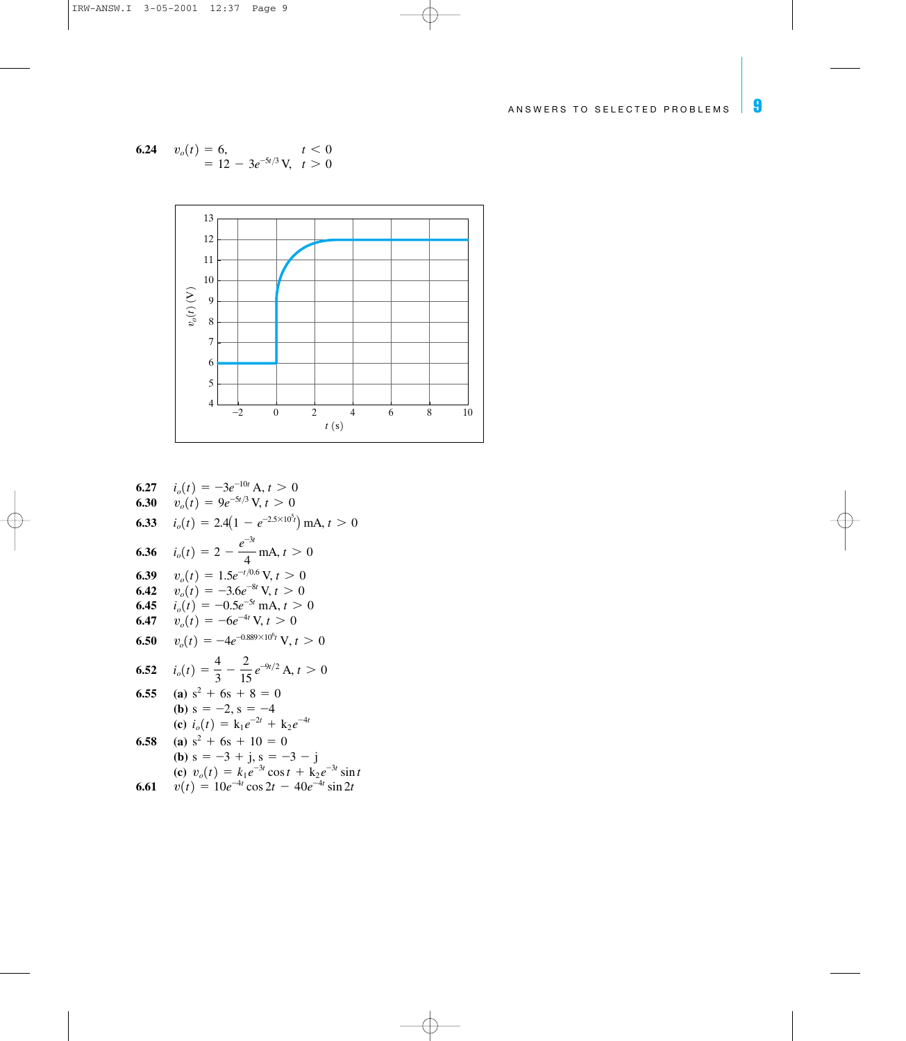6.24 
$$
v_o(t) = 6
$$
,  $t < 0$   
= 12 - 3 $e^{-5t/3}$  V,  $t > 0$ 



**6.27** 
$$
i_o(t) = -3e^{-10t} A, t > 0
$$

**6.30** 
$$
v_o(t) = 9e^{-5t/3} \text{ V}, t > 0
$$

**6.33** 
$$
i_o(t) = 2.4(1 - e^{-2.5 \times 10^5 t}) \text{ mA}, t > 0
$$
  
\n**6.36**  $i_o(t) = 2 - \frac{e^{-3t}}{4} \text{ mA}, t > 0$   
\n**6.39**  $v_o(t) = 1.5e^{-t/0.6} \text{ V}, t > 0$ 

6.42 
$$
v_o(t) = -3.6e^{-8t}
$$
 V,  $t > 0$ 

**6.45** 
$$
i_o(t) = -0.5e^{-5t} \text{ mA}, t > 0
$$

**6.47** 
$$
v_o(t) = -6e^{-4t} \text{ V}, t > 0
$$

**6.50** 
$$
v_o(t) = -4e^{-0.889 \times 10^6 t} \text{ V}, t > 0
$$

**6.52** 
$$
i_o(t) = \frac{4}{3} - \frac{2}{15} e^{-9t/2} A, t > 0
$$
  
**6.55** (a)  $s^2 + 6s + 8 = 0$ 

**(b)** 
$$
s = -2
$$
,  $s = -4$   
\n**(c)**  $i_o(t) = k_1 e^{-2t} + k_2 e^{-4t}$ 

6.58 (a) 
$$
s^2 + 6s + 10 = 0
$$
  
\n(b)  $s = -3 + j$ ,  $s = -3 - j$   
\n(c)  $v_o(t) = k_1 e^{-3t} \cos t + k_2 e^{-3t} \sin t$   
\n6.61  $v(t) = 10e^{-4t} \cos 2t - 40e^{-4t} \sin 2t$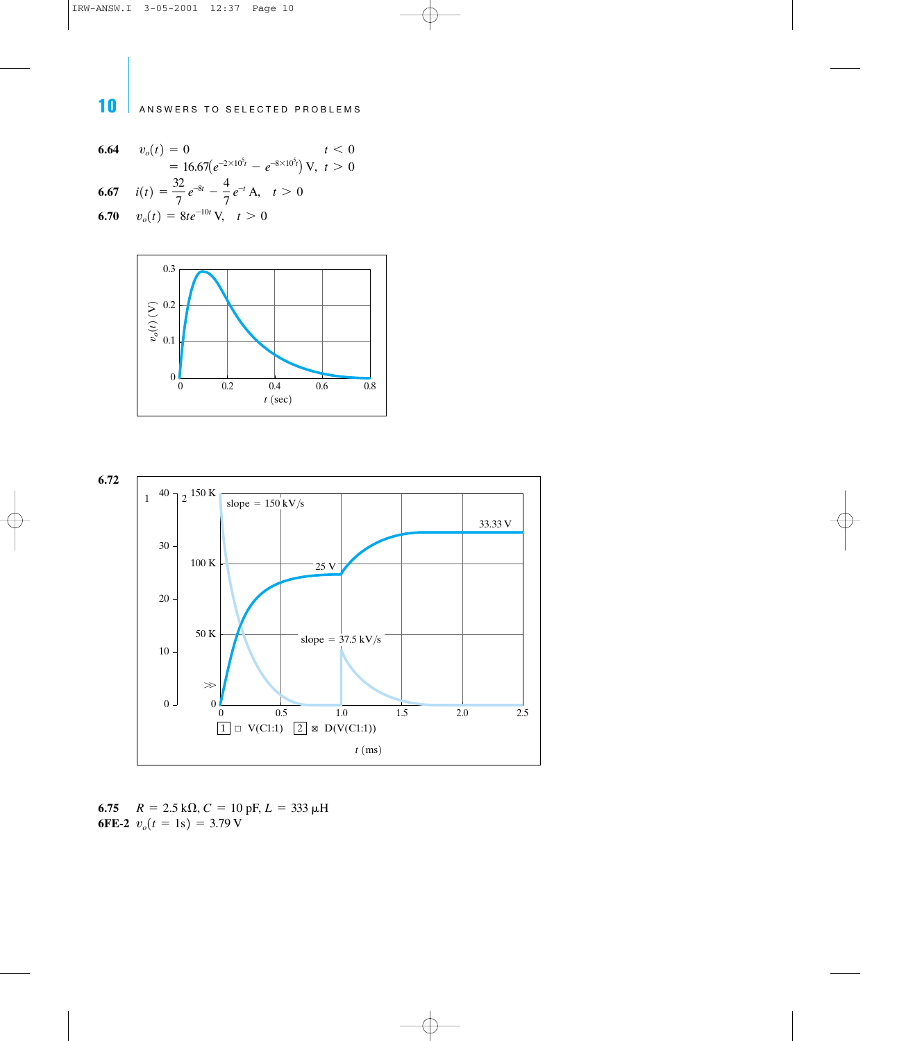**6.64**  $v_o(t) = 0$   $t < 0$ = 16.67 $(e^{-2\times 10^5t} - e^{-8\times 10^5t})$  V,  $t > 0$ **6.67**  $i(t) = \frac{c}{\pi}e^{-8t} - \frac{1}{\pi}e^{-t}$  A,  $t > 0$ **6.70**  $v_o(t)=8te^{-10t}$  V,  $t>0$  $i(t) = \frac{32}{7} e^{-8t} - \frac{4}{7} e^{-t} A,$  $v_o(t) = 0$ 





**6.75**  $R = 2.5 \text{ k}\Omega$ ,  $C = 10 \text{ pF}$ ,  $L = 333 \text{ }\mu\text{H}$ **6FE-2**  $v_o(t=1s)=3.79 \text{ V}$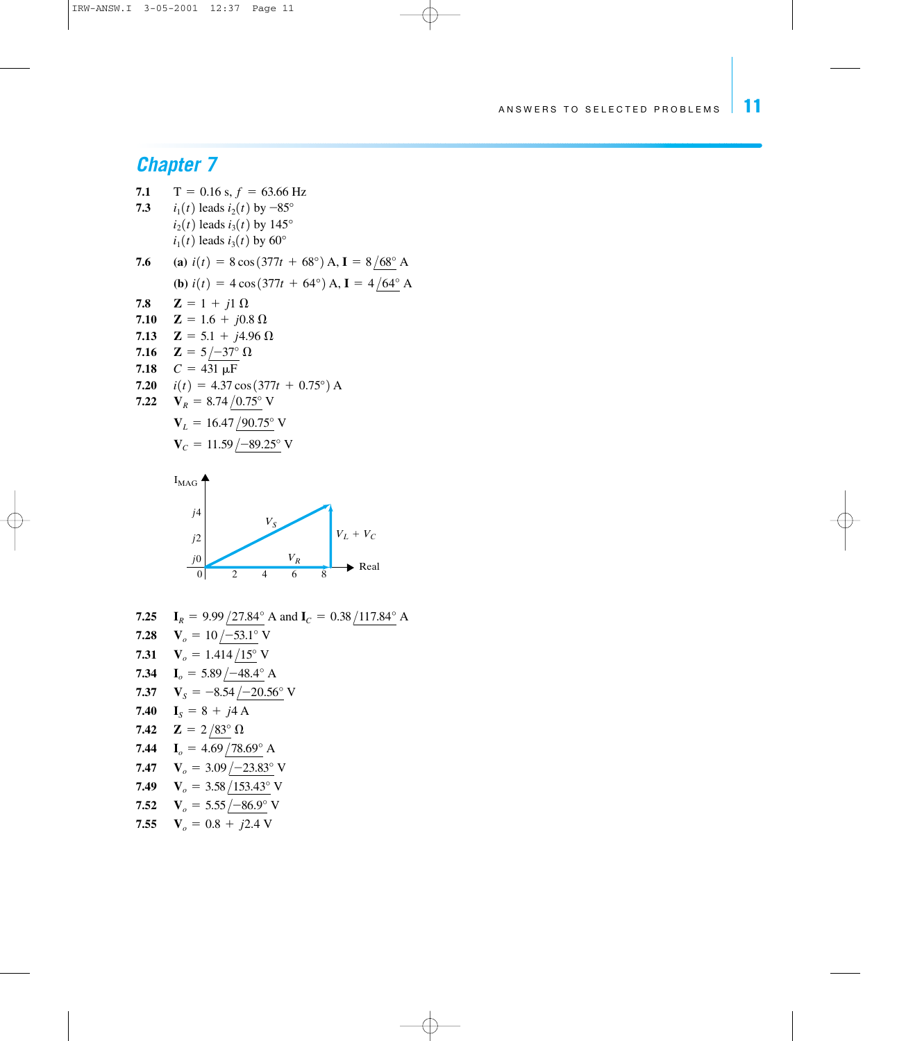### *Chapter 7*

7.1 
$$
T = 0.16
$$
 s,  $f = 63.66$  Hz  
\n7.3  $i_1(t)$  leads  $i_2(t)$  by  $-85^\circ$   
\n $i_2(t)$  leads  $i_3(t)$  by  $145^\circ$   
\n $i_1(t)$  leads  $i_3(t)$  by  $60^\circ$   
\n7.6 (a)  $i(t) = 8 \cos(377t + 68^\circ)$  A,  $I = 8/68^\circ$  A  
\n(b)  $i(t) = 4 \cos(377t + 64^\circ)$  A,  $I = 4/64^\circ$  A  
\n7.8  $Z = 1 + j1 \Omega$   
\n7.10  $Z = 1.6 + j0.8 \Omega$   
\n7.11  $Z = 5.1 + j4.96 \Omega$   
\n7.12  $Z = 5/37^\circ \Omega$   
\n7.13  $C = 431 \mu$ F  
\n7.20  $i(t) = 4.37 \cos(377t + 0.75^\circ)$  A  
\n7.22  $V_R = 8.74/0.75^\circ$  V  
\n $V_L = 16.47/90.75^\circ$  V  
\n $V_C = 11.59/-89.25^\circ$  V



**7.25 I**<sub>R</sub> = 9.99  $/27.84^{\circ}$  A and **I**<sub>C</sub> = 0.38  $/117.84^{\circ}$  A **7.28**  $V_o = 10 \div 53.1^\circ$  V **7.31**  $V_o = 1.414 / 15^\circ$  V **7.34**  $I_o = 5.89 \angle 48.4^{\circ}$  A **7.37**  $V_S = -8.54 / -20.56^\circ$  V **7.40 I**<sub>S</sub> = 8 + j4 A **7.42**  $\mathbf{Z} = 2/83^{\circ} \Omega$ **7.44**  $I_o = 4.69 / 78.69^\circ$  A **7.47**  $V_o = 3.09 \angle 23.83^\circ$  V **7.49**  $V_o = 3.58 \sqrt{153.43^{\circ}}$  V **7.52**  $V_o = 5.55 \times 10^{-86.9^{\circ}}$  V **7.55**  $V_o = 0.8 + j2.4$  V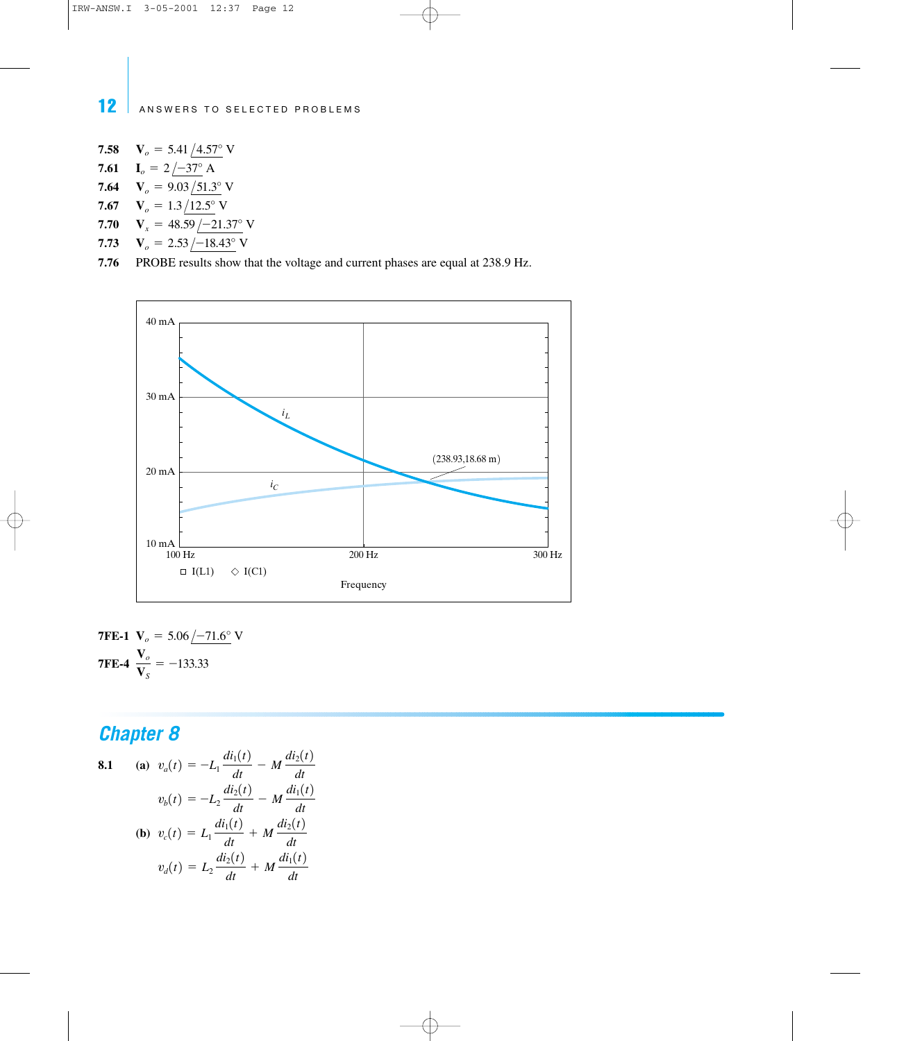**7.58 7.61**  $I_o = 2/-37^\circ$  A **7.64**  $V_o = 9.03 / 51.3° V$ **7.67**  $V_o = 1.3 / 12.5^\circ$  V  $V_o = 5.41 / 4.57$ ° V

- **7.70**  $V_x = 48.59 - 21.37^\circ$  V
- **7.73**  $V_o = 2.53 / -18.43$ ° V

**7.76** PROBE results show that the voltage and current phases are equal at 238.9 Hz.



**7FE-1** 
$$
V_o = 5.06 \angle -71.6^{\circ} \text{ V}
$$
  
**7FE-4**  $\frac{V_o}{V_S} = -133.33$ 

**8.1** (a) 
$$
v_a(t) = -L_1 \frac{di_1(t)}{dt} - M \frac{di_2(t)}{dt}
$$
  
\n $v_b(t) = -L_2 \frac{di_2(t)}{dt} - M \frac{di_1(t)}{dt}$   
\n(b)  $v_c(t) = L_1 \frac{di_1(t)}{dt} + M \frac{di_2(t)}{dt}$   
\n $v_d(t) = L_2 \frac{di_2(t)}{dt} + M \frac{di_1(t)}{dt}$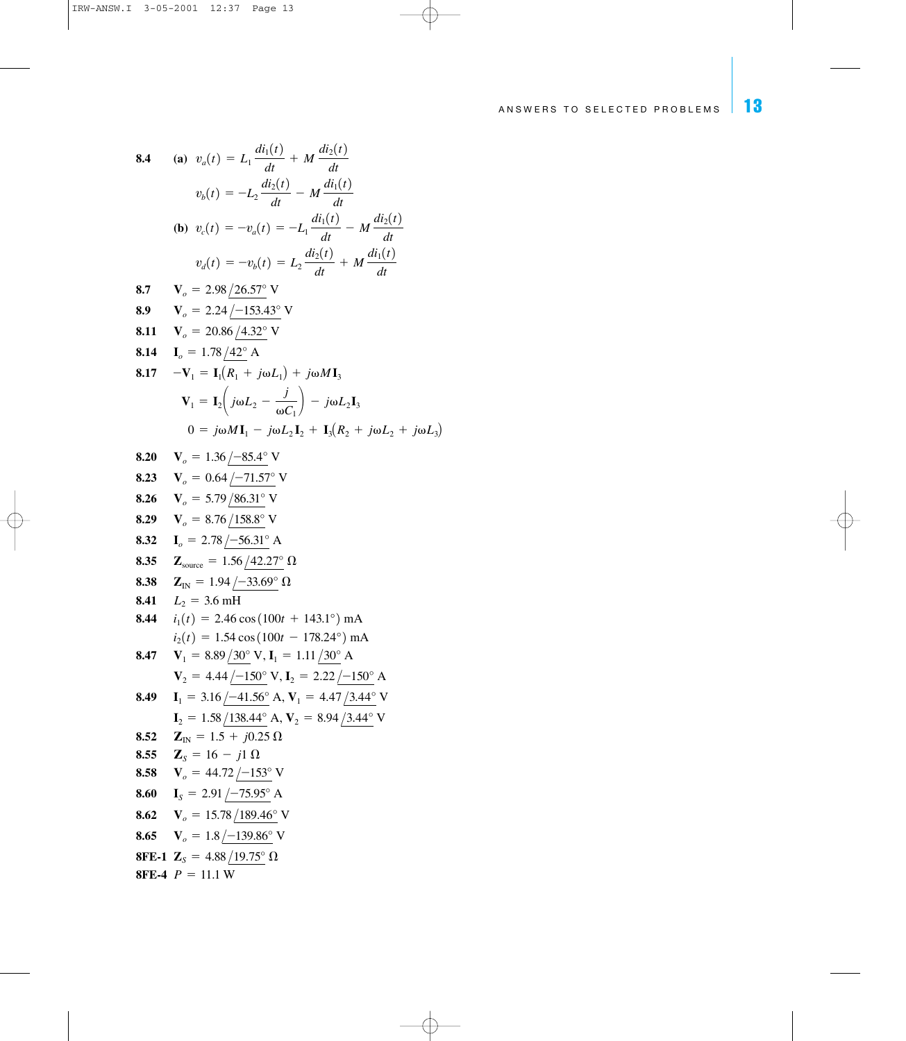8.4 (a) 
$$
v_a(t) = L_1 \frac{di_1(t)}{dt} + M \frac{di_2(t)}{dt}
$$
  
\n $v_b(t) = -L_2 \frac{di_2(t)}{dt} - M \frac{di_1(t)}{dt}$   
\n(b)  $v_c(t) = -v_a(t) = -L_1 \frac{di_1(t)}{dt} - M \frac{di_2(t)}{dt}$   
\n $v_a(t) = -v_b(t) = L_2 \frac{di_2(t)}{dt} + M \frac{di_1(t)}{dt}$   
\n8.7  $V_o = 2.98 \frac{126.57^\circ}{dt}$  V  
\n8.9  $V_a = 2.24 \frac{1-153.43^\circ}{t}$  V  
\n8.11  $V_o = 20.86 \frac{14.32^\circ}{t}$  V  
\n8.14  $I_o = 1.78 \frac{142^\circ}{t}$  A  
\n8.17  $-V_1 = I_1(R_1 + j\omega L_1) + j\omega M I_3$   
\n $V_1 = I_2 \left(j\omega L_2 - \frac{j}{\omega C_1}\right) - j\omega L_2 I_3$   
\n $0 = j\omega M I_1 - j\omega L_2 I_2 + I_3(R_2 + j\omega L_2 + j\omega L_3)$   
\n8.20  $V_o = 1.36 \frac{1-85.4^\circ}{t}$  V  
\n8.23  $V_o = 0.64 \frac{1-71.57^\circ}{t}$  V  
\n8.24  $V_o = 5.79 \frac{186.31^\circ}{t}$  V  
\n8.25  $V_o = 8.76 \frac{1158.8^\circ}{t}$  V  
\n8.26  $V_o = 5.79 \frac{186.31^\circ}{t}$  A  
\n8.37  $Z_{\text{source}} = 1.94 \frac{1-33.69^\circ}{t}$   $\Omega$   
\n8.38  $Z_{\text{IN}} = 1.94 \frac{1-33.69^\circ}{t}$   $\Omega$   
\n8.39  $Z_{\text{IN}} = 1.94 \frac{1-33.69^\circ}{t}$   $\Omega$   
\n8.31  $Z_{\text{$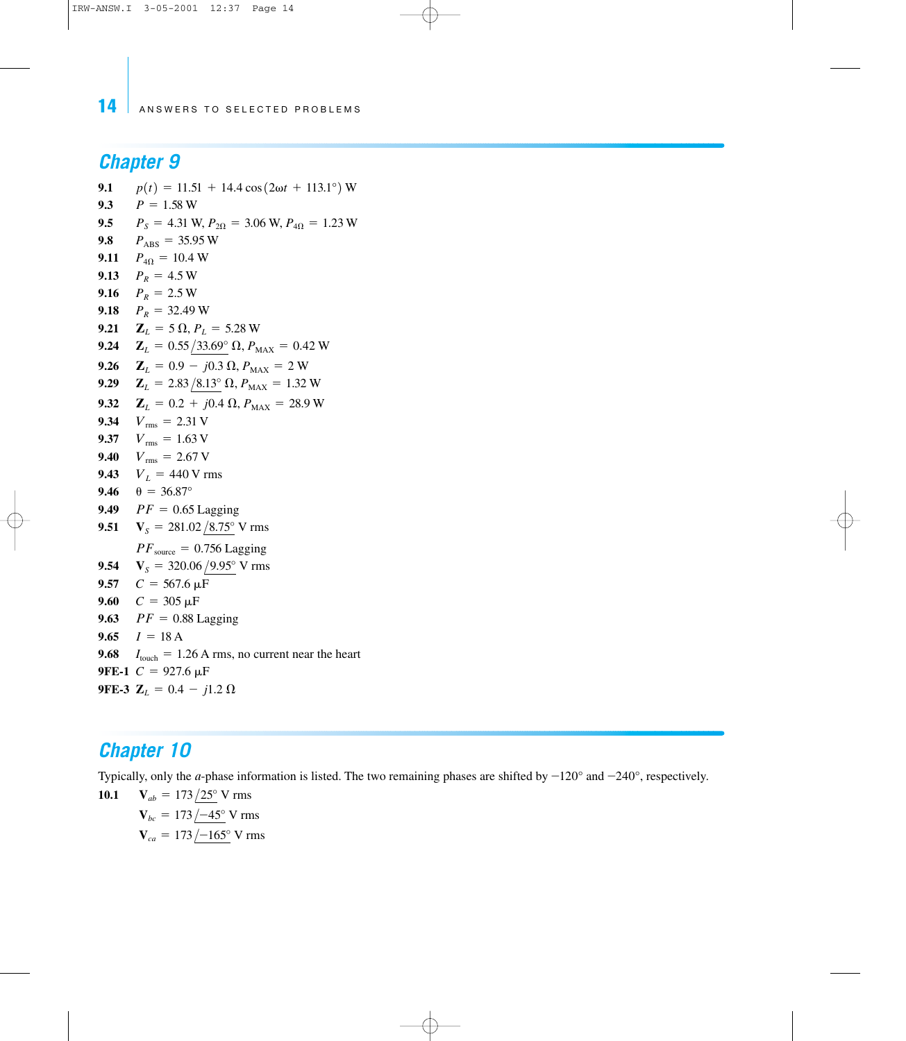### *Chapter 9*

**9.1**  $p(t) = 11.51 + 14.4 \cos(2\omega t + 113.1^\circ) \text{ W}$ 9.3  $P = 1.58 W$ **9.5**  $P_S = 4.31 \text{ W}, P_{2\Omega} = 3.06 \text{ W}, P_{4\Omega} = 1.23 \text{ W}$ **9.8**  $P_{\text{ABS}} = 35.95 \text{ W}$ **9.11**  $P_{4\Omega} = 10.4$  W **9.13**  $P_R = 4.5$  W **9.16**  $P_R = 2.5 W$ **9.18**  $P_R = 32.49$  W **9.21**  $\mathbf{Z}_L = 5 \Omega, P_L = 5.28 \text{ W}$ **9.24**  $\mathbf{Z}_L = 0.55 / 33.69^\circ \Omega$ ,  $P_{MAX} = 0.42 \text{ W}$ **9.26**  $\mathbf{Z}_L = 0.9 - j0.3 \Omega, P_{MAX} = 2 W$ **9.29**  $\mathbf{Z}_L = 2.83/8.13^\circ \Omega, P_{MAX} = 1.32 \text{ W}$ **9.32**  $\mathbf{Z}_L = 0.2 + j0.4 \Omega, P_{MAX} = 28.9 W$ **9.34**  $V_{\text{rms}} = 2.31 \text{ V}$ **9.37**  $V_{\text{rms}}=1.63$  V **9.40**  $V_{\text{rms}}=2.67 \text{ V}$ **9.43**  $V_L = 440 \text{ V rms}$ **9.46**  $\theta = 36.87^{\circ}$ **9.49**  $PF = 0.65$  Lagging **9.51**  $V_s = 281.02 / 8.75^\circ$  V rms  $PF_{source} = 0.756$  Lagging **9.54**  $V_s = 320.06 / 9.95^\circ$  V rms 9.57  $C = 567.6 \,\mu\text{F}$ 9.60  $C = 305 \,\mu\text{F}$ **9.63**  $PF = 0.88$  Lagging 9.65  $I = 18 A$ **9.68**  $I_{\text{touch}} = 1.26 \text{ A rms}$ , no current near the heart **9FE-1**  $C = 927.6 \mu F$ **9FE-3**  $\mathbf{Z}_L = 0.4 - j1.2 \Omega$ 

#### *Chapter 10*

Typically, only the *a*-phase information is listed. The two remaining phases are shifted by  $-120^{\circ}$  and  $-240^{\circ}$ , respectively.

**10.1**  $V_{ca} = 173 / -165$ ° V rms **<sub>bc</sub> = 173/-45<sup>°</sup> V rms**  $V_{ab} = 173/25$ ° V rms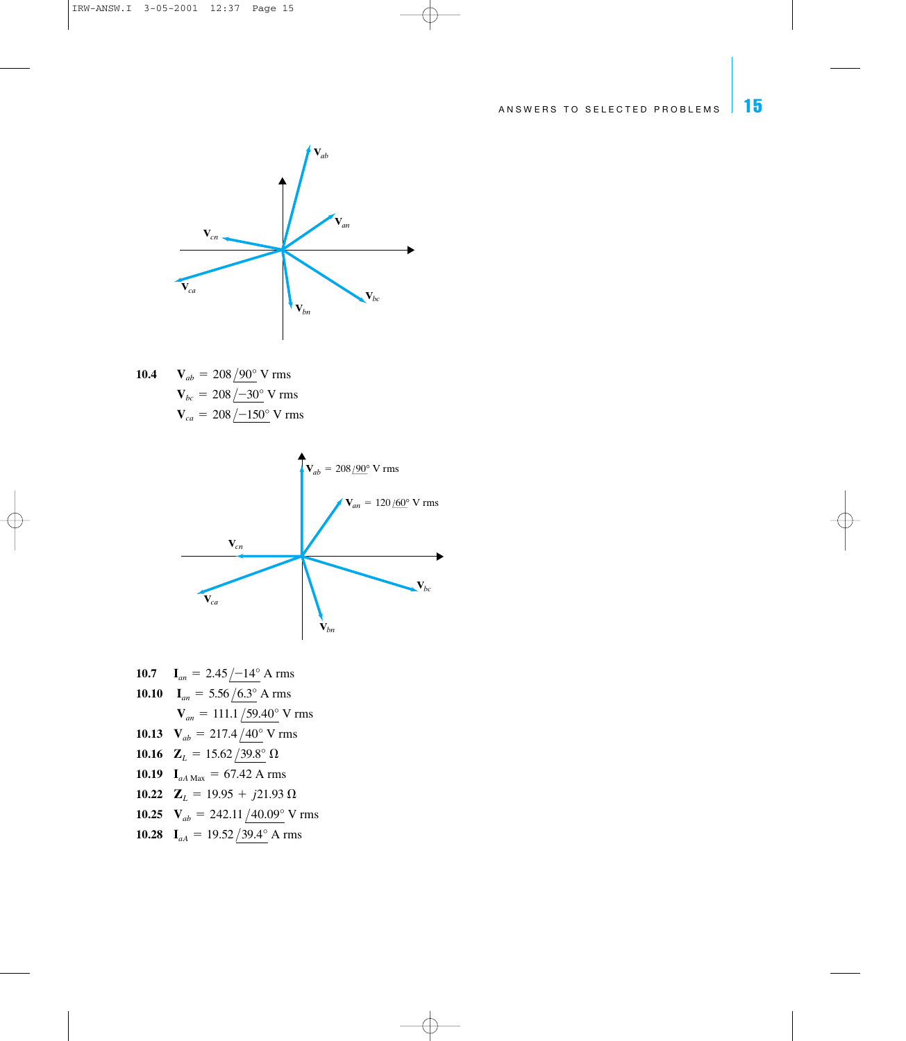

**10.4**  $V_{ca} = 208 / -150^{\circ}$  V rms **<sub>bc</sub> = 208**  $/$ **–30° V rms**  $V_{ab} = 208/90^{\circ}$  V rms



**10.7**  $I_{an} = 2.45 \div 14^{\circ}$  A rms **10.10**  $I_{an} = 5.56 / 6.3^{\circ}$  A rms **10.13**  $V_{ab} = 217.4 / 40^{\circ}$  V rms **10.16**  $\mathbf{Z}_L = 15.62 / 39.8^\circ \Omega$ **10.19**  $I_{aA \text{ Max}} = 67.42 \text{ A rms}$ **10.22**  $\mathbf{Z}_L = 19.95 + j21.93 \Omega$ **10.25**  $V_{ab} = 242.11/40.09^{\circ}$  V rms **10.28 I**<sub>aA</sub> = 19.52  $\sqrt{39.4^{\circ}}$  A rms  $V_{an} = 111.1 / 59.40^{\circ}$  V rms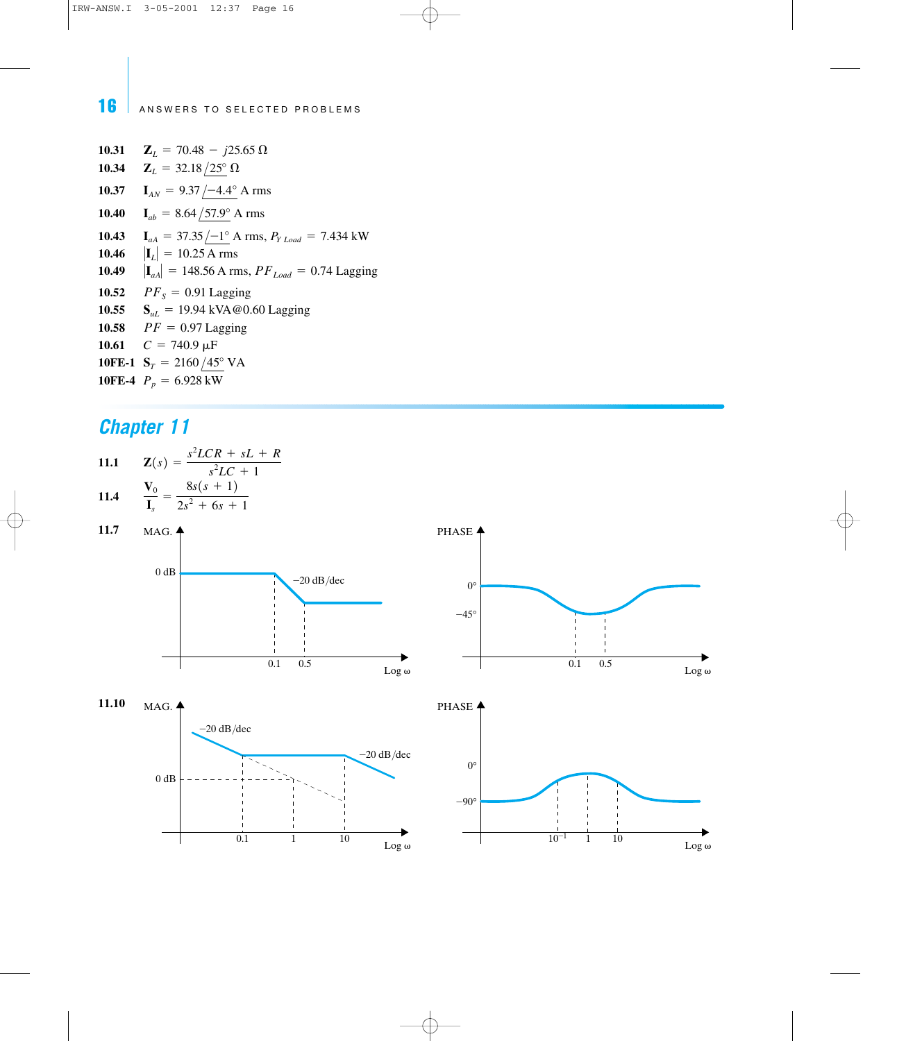**10.31**  $\mathbf{Z}_L = 70.48 - j25.65 \Omega$ **10.34 10.37 10.40 10.43 10.46**  $|\mathbf{I}_{L}| = 10.25 \text{ Å rms}$ **10.49**  $|\mathbf{I}_{aA}| = 148.56 \text{ A rms}, PF_{Load} = 0.74 \text{ Lagging}$ **10.52**  $PF_s = 0.91$  Lagging **10.55 S**<sub>uL</sub> = 19.94 kVA@0.60 Lagging **10.58**  $PF = 0.97$  Lagging **10.61**  $C = 740.9 \,\mu\text{F}$ **10FE-1**  $S_T = 2160/45^\circ$  VA **10FE-4**  $P_p = 6.928 \text{ kW}$  $I_{aA}$  = 37.35  $\frac{-1^{\circ}}{A}$  A rms,  $P_{Y \text{ Load}}$  = 7.434 kW  $I_{ab} = 8.64 / 57.9$ ° A rms  $I_{AN} = 9.37 / -4.4^{\circ}$  A rms  $\mathbf{Z}_L = 32.18/25^\circ \,\Omega$ 

### *Chapter 11*

11.1 
$$
Z(s) = \frac{s^2 LCR + sL + R}{s^2 L C + 1}
$$
  
11.4 
$$
\frac{V_0}{I_s} = \frac{8s(s + 1)}{2s^2 + 6s + 1}
$$



Log<sub>ω</sub>

 $0.1$  1 1  $10$   $\log \omega$  1  $10^{-1}$  1 1  $10$   $\log \omega$ 

 $10^{-1}$  1 10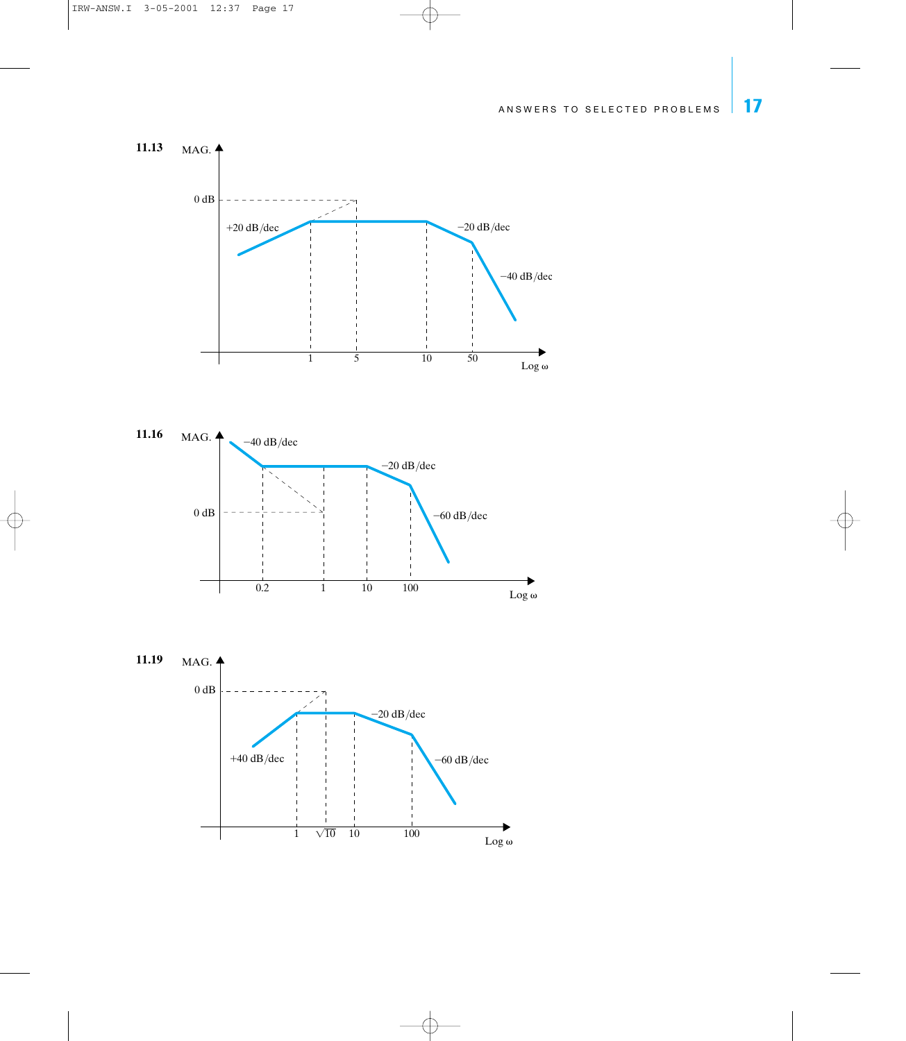



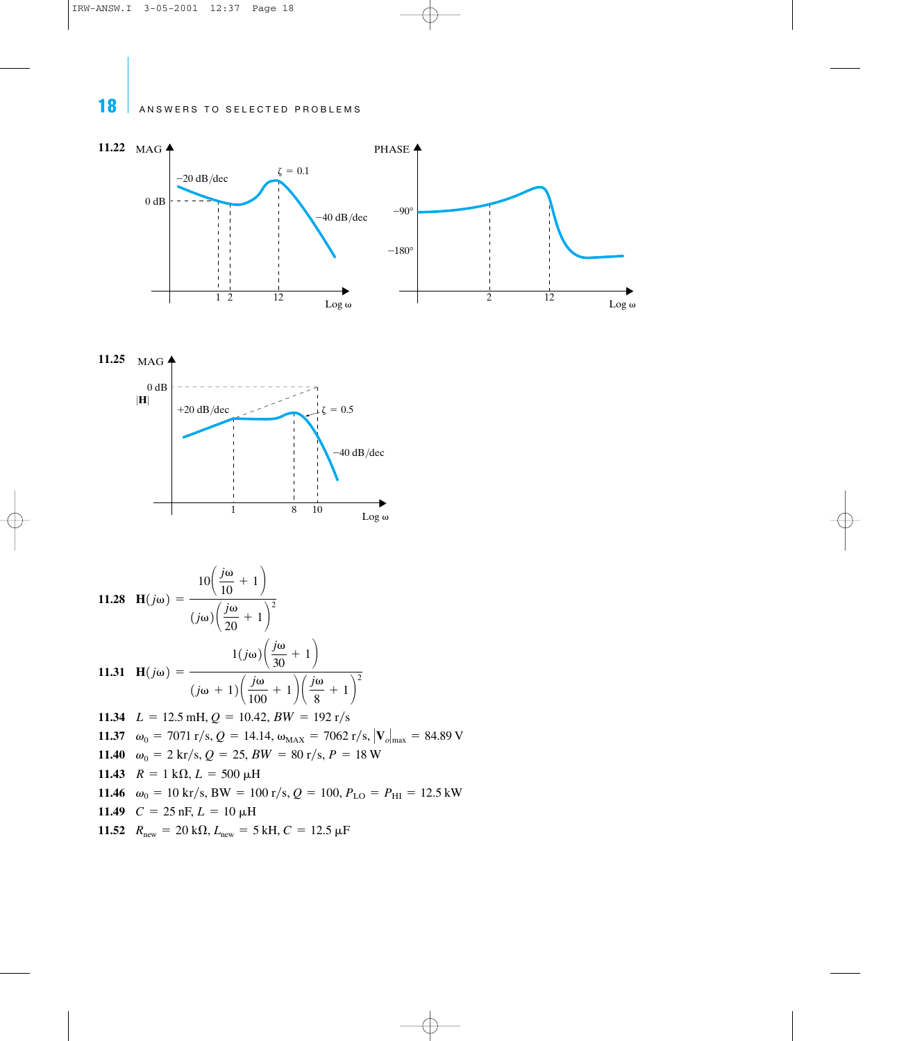



11.28 
$$
H(j\omega) = \frac{10\left(\frac{j\omega}{10} + 1\right)}{(j\omega)\left(\frac{j\omega}{20} + 1\right)^2}
$$
  
\n11.31 
$$
H(j\omega) = \frac{1(j\omega)\left(\frac{j\omega}{30} + 1\right)}{(j\omega + 1)\left(\frac{j\omega}{100} + 1\right)\left(\frac{j\omega}{8} + 1\right)^2}
$$
  
\n11.34 
$$
L = 12.5 \text{ mH}, Q = 10.42, BW = 192 \text{ r/s}
$$
  
\n11.37 
$$
\omega_0 = 7071 \text{ r/s}, Q = 14.14, \omega_{MAX} = 7062 \text{ r/s}, |\mathbf{V}_o|_{max} = 84.89 \text{ V}
$$
  
\n11.40 
$$
\omega_0 = 2 \text{ kr/s}, Q = 25, BW = 80 \text{ r/s}, P = 18 \text{ W}
$$
  
\n11.43 
$$
R = 1 \text{ k}\Omega, L = 500 \text{ }\mu\text{H}
$$
  
\n11.44 
$$
\omega_0 = 10 \text{ kr/s}, BW = 100 \text{ r/s}, Q = 100, P_{LO} = P_{HI} = 12.5 \text{ kW}
$$
  
\n11.49 
$$
C = 25 \text{ nF}, L = 10 \text{ }\mu\text{H}
$$
  
\n11.52 
$$
R_{new} = 20 \text{ k}\Omega, L_{new} = 5 \text{ kH}, C = 12.5 \text{ }\mu\text{F}
$$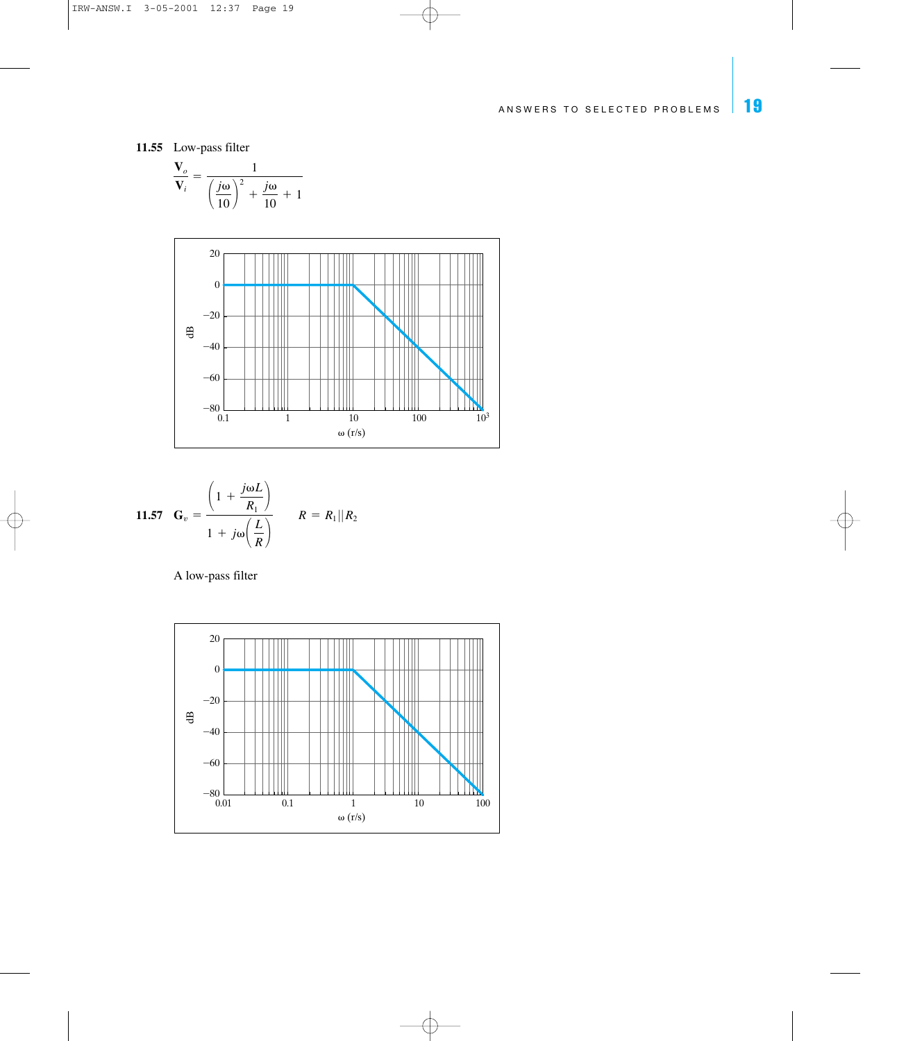**11.55** Low-pass filter

$$
\frac{\mathbf{V}_o}{\mathbf{V}_i} = \frac{1}{\left(\frac{j\omega}{10}\right)^2 + \frac{j\omega}{10} + 1}
$$



$$
\begin{aligned} \textbf{11.57} \quad \mathbf{G}_v &= \frac{\left(1 + \frac{j\omega L}{R_1}\right)}{1 + j\omega \left(\frac{L}{R}\right)} \qquad R = R_1 \| R_2 \end{aligned}
$$

A low-pass filter

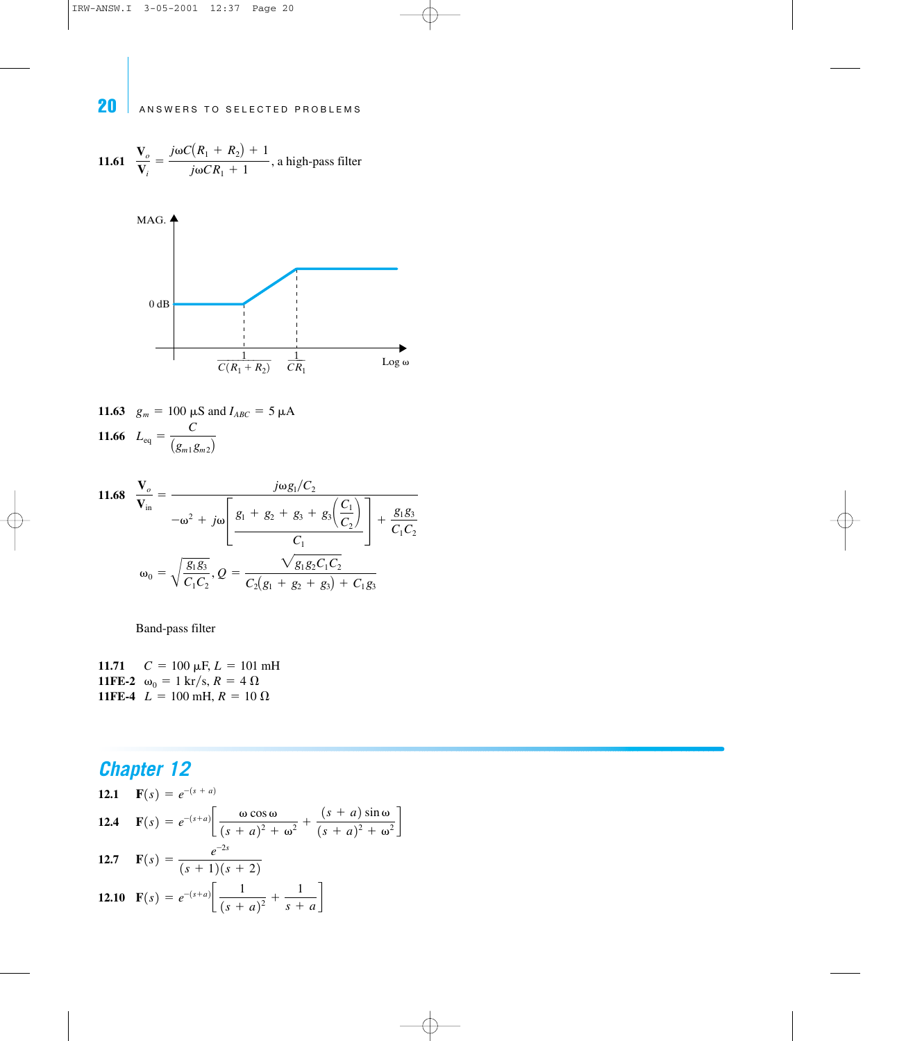11.61 
$$
\frac{\mathbf{V}_o}{\mathbf{V}_i} = \frac{j\omega C(R_1 + R_2) + 1}{j\omega CR_1 + 1}
$$
, a high-pass filter



**11.63** 
$$
g_m = 100 \mu\text{S}
$$
 and  $I_{ABC} = 5 \mu\text{A}$   
**11.66**  $L_{\text{eq}} = \frac{C}{(g_{m1}g_{m2})}$ 

11.68 
$$
\frac{\mathbf{V}_o}{\mathbf{V}_{in}} = \frac{j\omega g_1/C_2}{-\omega^2 + j\omega \left[\frac{g_1 + g_2 + g_3 + g_3\left(\frac{C_1}{C_2}\right)}{C_1}\right] + \frac{g_1 g_3}{C_1 C_2}}
$$

$$
\omega_0 = \sqrt{\frac{g_1 g_3}{C_1 C_2}}, Q = \frac{\sqrt{g_1 g_2 C_1 C_2}}{C_2 (g_1 + g_2 + g_3) + C_1 g_3}
$$

Band-pass filter

**11.71**  $C = 100 \mu\text{F}, L = 101 \text{ mH}$ **11FE-2**  $\omega_0 = 1 \text{ kr/s}, R = 4 \Omega$ **11FE-4**  $L = 100$  mH,  $R = 10 \Omega$ 

12.1 
$$
\mathbf{F}(s) = e^{-(s+a)}
$$
  
\n12.4  $\mathbf{F}(s) = e^{-(s+a)} \left[ \frac{\omega \cos \omega}{(s+a)^2 + \omega^2} + \frac{(s+a) \sin \omega}{(s+a)^2 + \omega^2} \right]$   
\n12.7  $\mathbf{F}(s) = \frac{e^{-2s}}{(s+1)(s+2)}$   
\n12.10  $\mathbf{F}(s) = e^{-(s+a)} \left[ \frac{1}{(s+a)^2} + \frac{1}{s+a} \right]$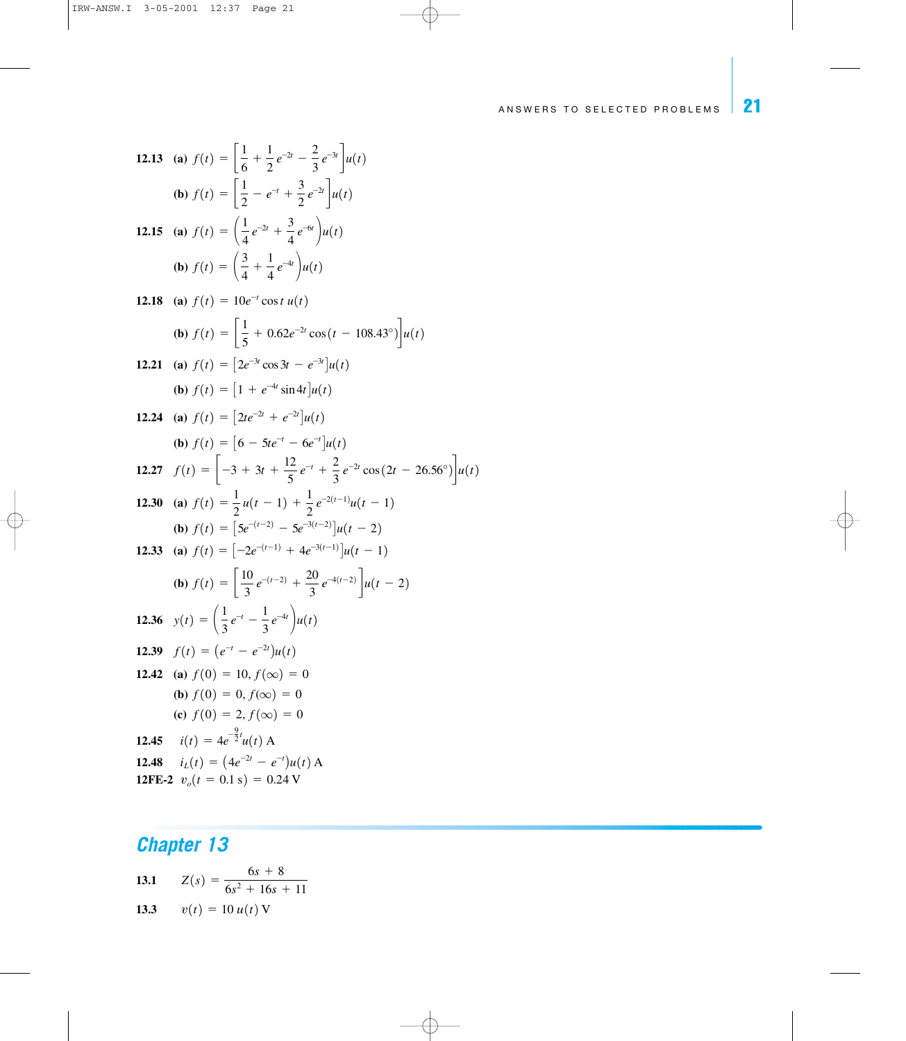**12.13** (**a**)  $f(t) = \frac{1}{6}$ **(b)**  $f(t) = \left\lfloor \frac{1}{2} - e^{-t} + \frac{3}{2} \right\rfloor$ **12.15** (a)  $f(t) = \left(\frac{1}{4}e^{-2t} + \frac{3}{4}\right)$ **(b)**  $f(t) = \left(\frac{3}{4}\right)$ **12.18** (a)  $f(t) = 10e^{-t} \cos t u(t)$ **(b)**  $f(t) = \frac{1}{5}$ **12.21** (a)  $f(t) = \left[2e^{-3t}\cos 3t - e^{-3t}\right]u(t)$ **(b)**  $f(t) = \left[1 + e^{-4t} \sin 4t\right]u(t)$ **12.24** (a)  $f(t) = \left[2te^{-2t} + e^{-2t}\right]u(t)$ **(b)**  $f(t) = \left[6 - 5te^{-t} - 6e^{-t}\right]u(t)$ **12.27**  $f(t) = \begin{vmatrix} -3 + 3t + \frac{12}{5} \end{vmatrix}$ **12.30** (a)  $f(t) = \frac{1}{2}u(t-1) + \frac{1}{2}$ **(b)**  $f(t) = \left[5e^{-(t-2)} - 5e^{-3(t-2)}\right]u(t-2)$ **12.33** (a)  $f(t) = \left[ -2e^{-(t-1)} + 4e^{-3(t-1)} \right] u(t-1)$ **(b)**  $f(t) = \frac{10}{3}$ **12.36**  $y(t) = \left(\frac{1}{3}e^{-t} - \frac{1}{3}e^{-4t}\right)u(t)$ **12.39**  $f(t)=(e^{-t}-e^{-2t})u(t)$ **12.42** (a)  $f(0)=10, f(\infty)=0$ **(b)**  $f(0)=0, f(\infty)=0$ **(c)**  $f(0)=2, f(\infty)=0$ **12.45**  $i(t) = 4e^{-\frac{9}{2}t}u(t)$  A **12.48**  $i_L(t) = (4e^{-2t}-e^{-t})u(t)$  A **12FE-2**  $v_o(t=0.1 \text{ s})=0.24 \text{ V}$  $rac{10}{3}e^{-(t-2)} + \frac{20}{3}$  $\frac{d0}{3}e^{-4(t-2)}\int u(t-2)$  $\frac{1}{2}e^{-2(t-1)}u(t-1)$  $\frac{12}{5}e^{-t} + \frac{2}{3}$  $\frac{2}{3}e^{-2t}\cos(2t-26.56^{\circ})\bigg]u(t)$ 5  $+ 0.62e^{-2t} \cos(t - 108.43^\circ)\u(t)$  $+\frac{1}{2}$  $\frac{1}{4}e^{-4t}\bigg)u(t)$  $\frac{3}{4}e^{-6t}\bigg)u(t)$  $\frac{3}{2}e^{-2t}\bigg]u(t)$ 6  $+\frac{1}{2}$  $\frac{1}{2}e^{-2t} - \frac{2}{3}e^{-3t}\bigg]u(t)$ 

**13.1** 
$$
Z(s) = \frac{6s + 8}{6s^2 + 16s + 11}
$$
  
**13.3** 
$$
v(t) = 10 u(t) V
$$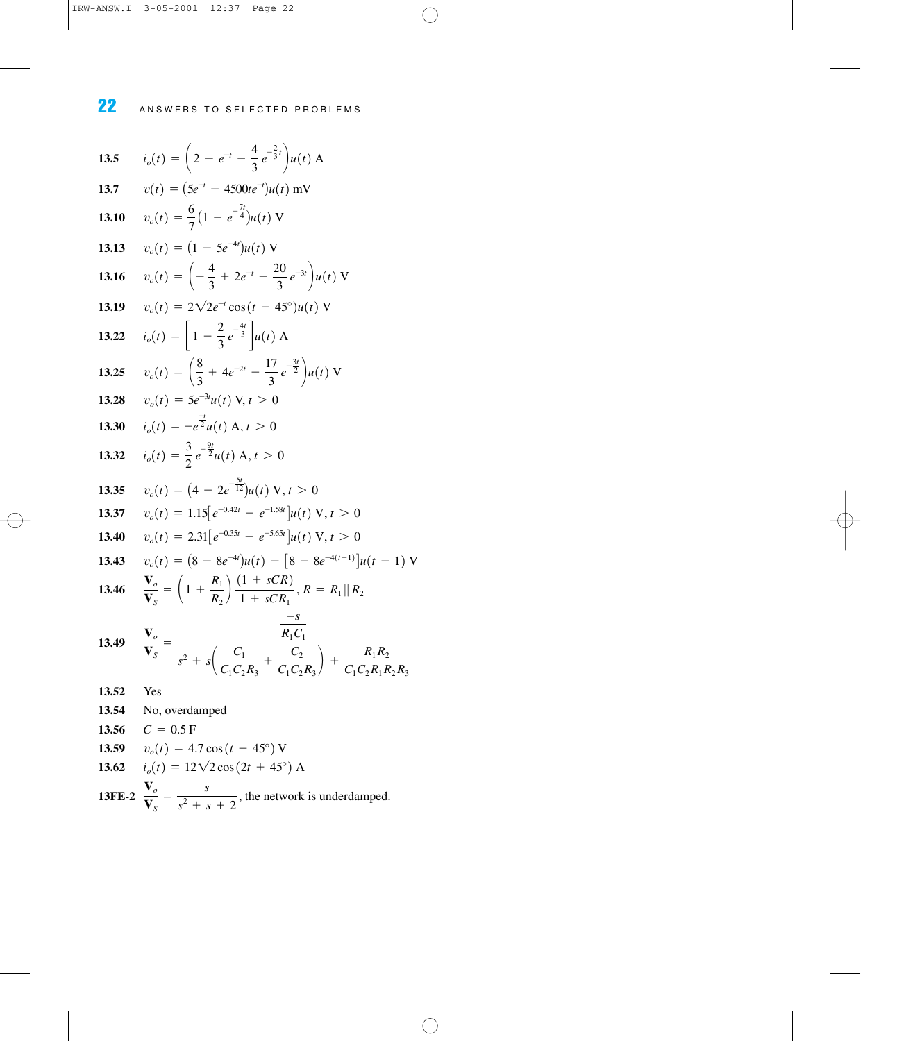**13.5 13.7 13.10 13.13**  $v_o(t) = (1 - 5e^{-4t})u(t)$  V **13.16**  $v_o(t) = \left(-\frac{4}{3}\right)$ **13.19**  $v_o(t) = 2\sqrt{2}e^{-t}\cos(t - 45^\circ)u(t)$  V **13.22**  $i_o(t) = \left[1 - \frac{2}{3}e^{-\frac{4t}{3}}\right]u(t)$  A **13.25**  $v_o(t) = \left(\frac{8}{3}\right)$ **13.28**  $v_o(t) = 5e^{-3t}u(t)$  V,  $t > 0$ **13.30**  $i_o(t) = -e^{\frac{-t}{2}}u(t)$  A,  $t > 0$ **13.32**  $i_o(t) = \frac{3}{2} e^{-\frac{9t}{2}} u(t) \text{ A}, t > 0$ **13.35**  $v_o(t) = (4 + 2e^{-\frac{5t}{12}})u(t) \text{ V}, t > 0$ **13.37**  $v_o(t) = 1.15[e^{-0.42t} - e^{-1.58t}]u(t) \text{ V}, t > 0$ **13.40**  $v_o(t) = 2.31[e^{-0.35t} - e^{-5.65t}]u(t) \text{ V}, t > 0$ **13.43**  $v_o(t) = (8 - 8e^{-4t})u(t) - [8 - 8e^{-4(t-1)}]u(t-1)$  V **13.46**  $\frac{V_o}{V}$ **13.49**  $\frac{V_o}{V}$ **13.52** Yes **13.54** No, overdamped **13.56**  $C = 0.5$  F **13.59**  $v_o(t) = 4.7 \cos(t-45^\circ)$  V **13.62**  $i_o(t) = 12\sqrt{2}\cos(2t + 45^\circ)$  A  $\mathbf{V}_S$ =  $-s$  $R_1C_1$  $s^2 + s \left( \frac{C_1}{C_1 C_2 R_3} \right)$  $+\frac{C_2}{\sqrt{C_2}}$  $\left(\frac{C_2}{C_1C_2R_3}\right) + \frac{R_1R_2}{C_1C_2R_1R_3}$  $C_1C_2R_1R_2R_3$  $\mathbf{V}_S$  $= \left( 1 + \frac{R_1}{R_1} \right)$  $\left(\frac{R_1}{R_2}\right) \frac{(1 + sCR)}{1 + sCR_1}, R = R_1 || R_2$  $^{2}u(t)$  A, +  $4e^{-2t} - \frac{17}{3}e^{-\frac{3t}{2}}\bigg)u(t)$  V + 2 $e^{-t}$  -  $\frac{20}{3}e^{-3t}$   $\bigg)u(t)$  V  $v_o(t) = \frac{6}{7} \left( 1 - e^{-\frac{7t}{4}} \right) u(t) \text{ V}$  $v(t) = (5e^{-t} - 4500te^{-t})u(t)$  mV  $i_o(t) = \left(2 - e^{-t} - \frac{4}{3}e^{-\frac{2}{3}t}\right)u(t)$  A 22 ANSWERS TO SELECTED PROBLEMS

13FE-2 
$$
\frac{\mathbf{V}_o}{\mathbf{V}_s} = \frac{s}{s^2 + s + 2}
$$
, the network is underdamped.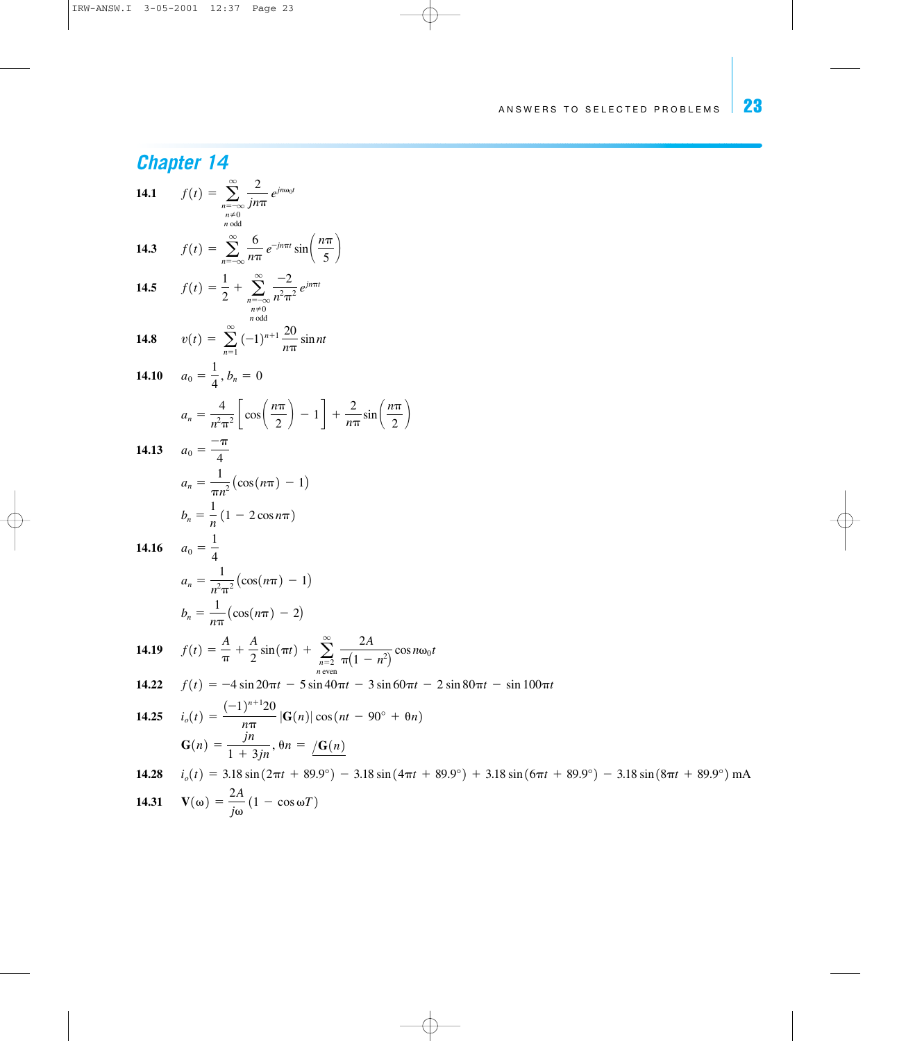**14.31**  $V(\omega) = \frac{2A}{j\omega} (1 - \cos \omega T)$ 

**Chapter 14**  
\n14.1 
$$
f(t) = \sum_{\substack{n=-\infty \ n \text{ odd}}}^{\infty} \frac{2}{n\pi n} e^{jn\omega_0 t}
$$
  
\n14.3  $f(t) = \sum_{n=-\infty}^{\infty} \frac{6}{n\pi} e^{-jn\pi t} \sin\left(\frac{n\pi}{5}\right)$   
\n14.5  $f(t) = \frac{1}{2} + \sum_{\substack{n=-\infty \ n \text{ odd}}}^{\infty} \frac{-2}{n^2\pi^2} e^{jn\pi t}$   
\n14.8  $v(t) = \sum_{n=0}^{\infty} (-1)^{n+1} \frac{20}{n\pi} \sin nt$   
\n14.10  $a_0 = \frac{4}{4}, b_n = 0$   
\n $a_n = \frac{4}{n^2\pi^2} \left[ \cos\left(\frac{n\pi}{2}\right) - 1 \right] + \frac{2}{n\pi} \sin\left(\frac{n\pi}{2}\right)$   
\n14.13  $a_0 = \frac{-\pi}{4}$   
\n $a_n = \frac{1}{n^2} (\cos(n\pi) - 1)$   
\n $b_n = \frac{1}{n} (1 - 2 \cos n\pi)$   
\n14.16  $a_0 = \frac{1}{4}$   
\n $a_n = \frac{1}{n^2\pi^2} (\cos(n\pi) - 1)$   
\n $b_n = \frac{1}{n\pi} (\cos(n\pi) - 2)$   
\n14.19  $f(t) = \frac{A}{\pi} + \frac{A}{2} \sin(\pi t) + \sum_{n=-\infty}^{\infty} \frac{2A}{\pi(1 - n^2)} \cos n\omega_0 t$   
\n14.22  $f(t) = -4 \sin 20\pi t - 5 \sin 40\pi t - 3 \sin 60\pi t - 2 \sin 80\pi t - \sin 100\pi t$   
\n14.23  $i_n(t) = \frac{(-1)^{n+1}20}{n\pi} [\text{G}(n) | \cos(n\pi) - 90^\circ + \theta n]$   
\n $\text{G}(n) = \frac{1}{1 + 3jn}, \theta n = \frac{1}{2\pi} (2n)$   
\n14.28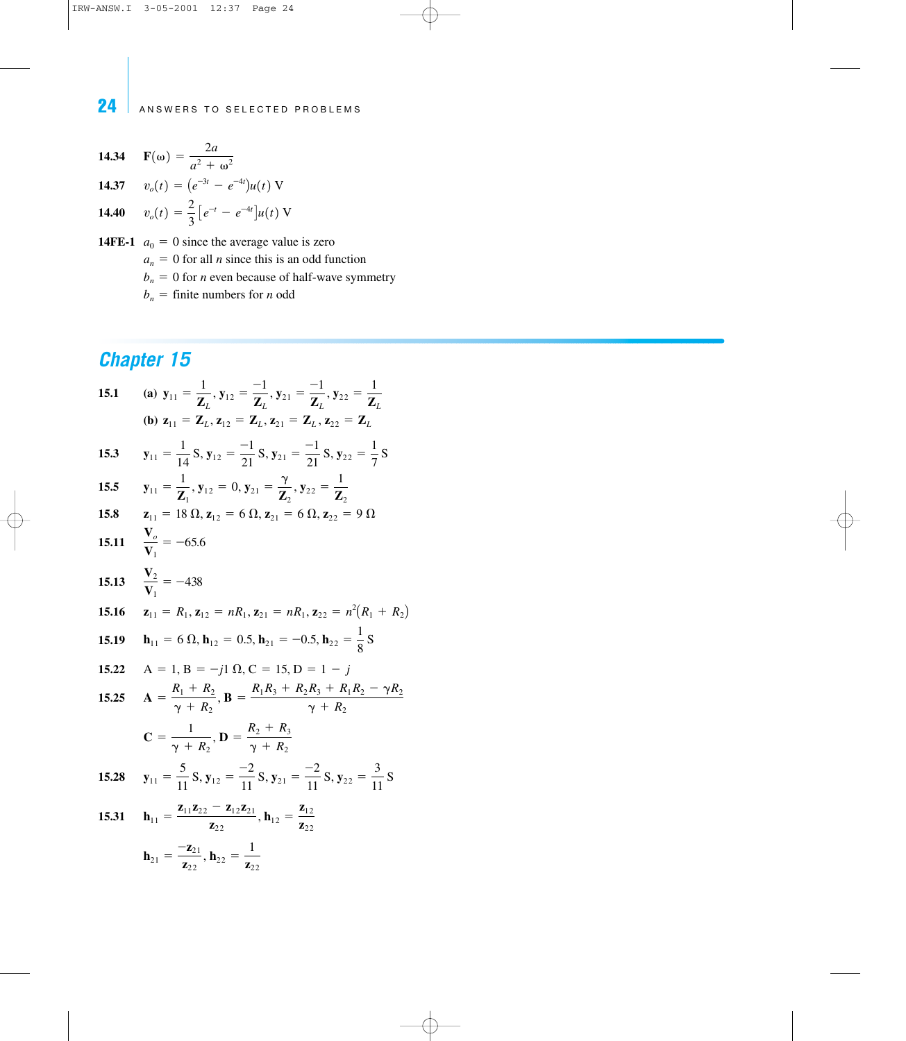**14.34** 
$$
\mathbf{F}(\omega) = \frac{2a}{a^2 + \omega^2}
$$
  
\n**14.37**  $v_o(t) = (e^{-3t} - e^{-4t})u(t) \text{ V}$   
\n**14.40**  $v_o(t) = \frac{2}{3} [e^{-t} - e^{-4t}]u(t) \text{ V}$ 

**14FE-1**  $a_0 = 0$  since the average value is zero  $a_n = 0$  for all *n* since this is an odd function  $b_n=0$  for *n* even because of half-wave symmetry  $b_n$  = finite numbers for *n* odd

15.1 (a) 
$$
y_{11} = \frac{1}{Z_L}
$$
,  $y_{12} = \frac{-1}{Z_L}$ ,  $y_{21} = \frac{-1}{Z_L}$ ,  $y_{22} = \frac{1}{Z_L}$   
\n(b)  $z_{11} = Z_L$ ,  $z_{12} = Z_L$ ,  $z_{21} = Z_L$ ,  $z_{22} = Z_L$   
\n15.3  $y_{11} = \frac{1}{14} S$ ,  $y_{12} = \frac{-1}{21} S$ ,  $y_{21} = \frac{-1}{21} S$ ,  $y_{22} = \frac{1}{7} S$   
\n15.5  $y_{11} = \frac{1}{Z_1}$ ,  $y_{12} = 0$ ,  $y_{21} = \frac{y}{Z_2}$ ,  $y_{22} = \frac{1}{Z_2}$   
\n15.8  $z_{11} = 18 \Omega$ ,  $z_{12} = 6 \Omega$ ,  $z_{21} = 6 \Omega$ ,  $z_{22} = 9 \Omega$   
\n15.11  $\frac{V_o}{V_1} = -65.6$   
\n15.13  $\frac{V_2}{V_1} = -438$   
\n15.16  $z_{11} = R_1$ ,  $z_{12} = nR_1$ ,  $z_{21} = nR_1$ ,  $z_{22} = n^2(R_1 + R_2)$   
\n15.19  $h_{11} = 6 \Omega$ ,  $h_{12} = 0.5$ ,  $h_{21} = -0.5$ ,  $h_{22} = \frac{1}{8} S$   
\n15.22  $A = 1$ ,  $B = -j1 \Omega$ ,  $C = 15$ ,  $D = 1 - j$   
\n15.25  $A = \frac{R_1 + R_2}{\gamma + R_2}$ ,  $B = \frac{R_1 R_3 + R_2 R_3 + R_1 R_2 - \gamma R_2}{\gamma + R_2}$   
\n $C = \frac{1}{\gamma + R_2}$ ,  $D = \frac{R_2 + R_3}{\gamma + R_2}$   
\n15.28 <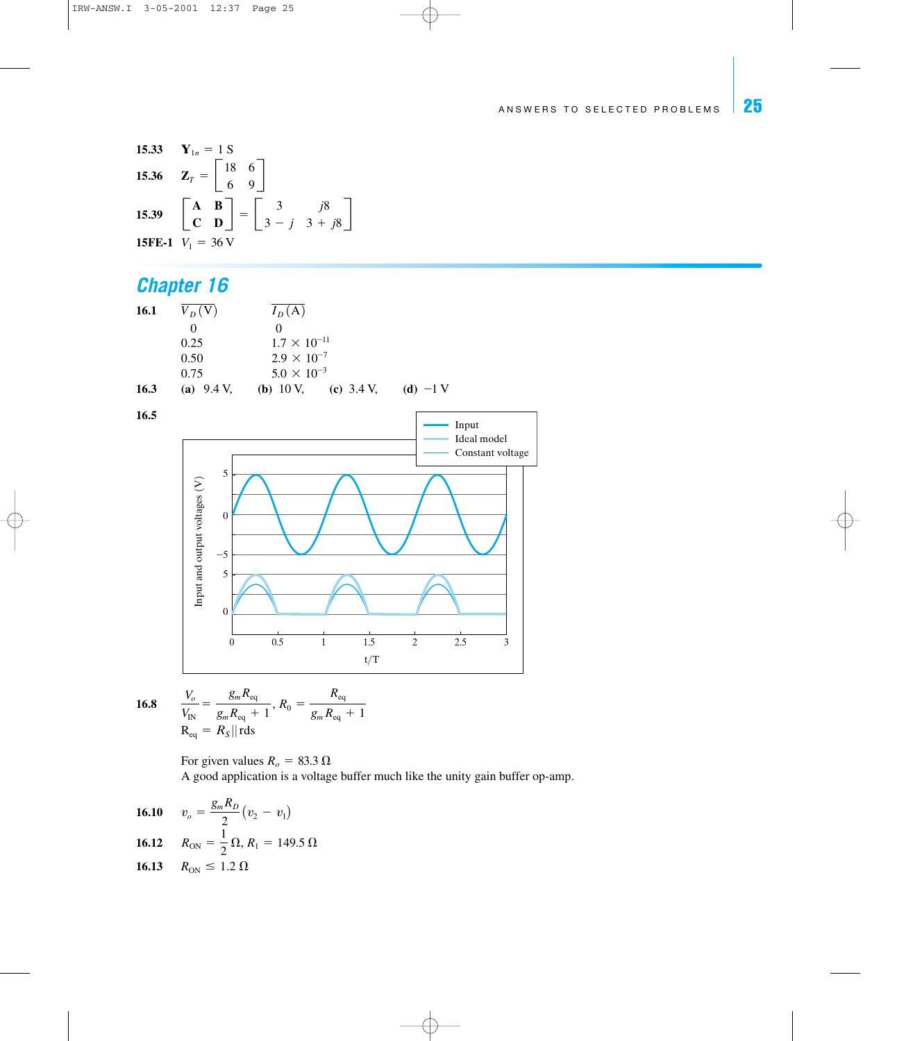**15.33** 
$$
\mathbf{Y}_{1n} = 1 \text{ S}
$$
  
\n**15.36**  $\mathbf{Z}_{T} = \begin{bmatrix} 18 & 6 \\ 6 & 9 \end{bmatrix}$   
\n**15.39**  $\begin{bmatrix} \mathbf{A} & \mathbf{B} \\ \mathbf{C} & \mathbf{D} \end{bmatrix} = \begin{bmatrix} 3 & j8 \\ 3 - j & 3 + j8 \end{bmatrix}$   
\n**15FE-1**  $V_{1} = 36 \text{ V}$ 

# *Chapter 16*

| 16.1 | $V_D(V)$              | $I_D(A)$                                    |            |
|------|-----------------------|---------------------------------------------|------------|
|      |                       |                                             |            |
|      | 0.25                  | $1.7 \times 10^{-11}$                       |            |
|      | 0.50                  | $2.9 \times 10^{-7}$                        |            |
|      | 0.75                  | $5.0 \times 10^{-3}$                        |            |
| 16.3 | (a) $9.4 \text{ V}$ , | (c) $3.4 \text{ V}$ ,<br>( <b>b</b> ) 10 V, | (d) $-1$ V |



**16.8** 
$$
\frac{V_o}{V_{IN}} = \frac{g_m R_{eq}}{g_m R_{eq} + 1}, R_0 = \frac{R_{eq}}{g_m R_{eq} + 1}
$$

$$
R_{eq} = R_S || \text{rds}
$$

For given values  $R_o=83.3 \Omega$ A good application is a voltage buffer much like the unity gain buffer op-amp.

**16.10** 
$$
v_o = \frac{g_m R_D}{2} (v_2 - v_1)
$$
  
\n**16.12**  $R_{ON} = \frac{1}{2} \Omega, R_1 = 149.5 \Omega$   
\n**16.13**  $R_{ON} \le 1.2 \Omega$